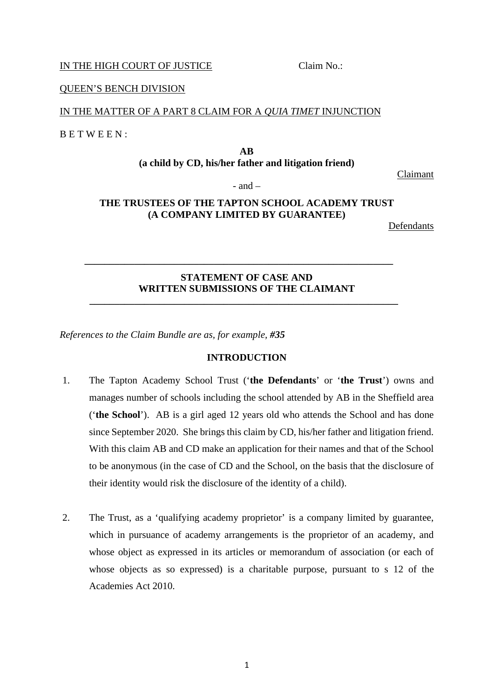# IN THE HIGH COURT OF JUSTICE Claim No.:

### QUEEN'S BENCH DIVISION QUEEN'S BENCH DIVISION

### IN THE MATTER OF A PART 8 CLAIM FOR A *QUIA TIMET* INJUNCTION IN THE MATTER OF A PART 8 CLAIM FOR A *QUIA TIMET* INJUNCTION

BETWEEN: B E T W E E N :

**AB AB (a child by CD, his/her father and litigation friend) (a child by CD, his/her father and litigation friend)**

Claimant

# $-$  and  $-$

# **THE TRUSTEES OF THE TAPTON SCHOOL ACADEMY TRUST THE TRUSTEES OF THE TAPTON SCHOOL ACADEMY TRUST (A COMPANY LIMITED BY GUARANTEE) (A COMPANY LIMITED BY GUARANTEE)**

Defendants Defendants

# **STATEMENT OF CASE AND STATEMENT OF CASE AND WRITTEN SUBMISSIONS OF THE CLAIMANT WRITTEN SUBMISSIONS OF THE CLAIMANT**

**\_\_\_\_\_\_\_\_\_\_\_\_\_\_\_\_\_\_\_\_\_\_\_\_\_\_\_\_\_\_\_\_\_\_\_\_\_\_\_\_\_\_\_\_\_\_\_\_\_\_\_\_\_\_\_\_\_\_\_\_\_\_**

**\_\_\_\_\_\_\_\_\_\_\_\_\_\_\_\_\_\_\_\_\_\_\_\_\_\_\_\_\_\_\_\_\_\_\_\_\_\_\_\_\_\_\_\_\_\_\_\_\_\_\_\_\_\_\_\_\_\_\_\_\_\_**

*References to the Claim Bundle are as, for example, #35 References to the Claim Bundle are as, for example, #35*

#### **INTRODUCTION INTRODUCTION**

- 1. The Tapton Academy School Trust **(`the Defendants'** or **'the Trust')** owns and 1. The Tapton Academy School Trust ('**the Defendants**' or '**the Trust**') owns and manages number of schools including the school attended by AB in the Sheffield area manages number of schools including the school attended by AB in the Sheffield area **(`the School').** AB is a girl aged 12 years old who attends the School and has done ('**the School**'). AB is a girl aged 12 years old who attends the School and has done since September 2020. She brings this claim by CD, his/her father and litigation friend. since September 2020. She brings this claim by CD, his/her father and litigation friend. With this claim AB and CD make an application for their names and that of the School With this claim AB and CD make an application for their names and that of the School to be anonymous (in the case of CD and the School, on the basis that the disclosure of to be anonymous (in the case of CD and the School, on the basis that the disclosure of their identity would risk the disclosure of the identity of a child). their identity would risk the disclosure of the identity of a child).
- 2. The Trust, as a 'qualifying academy proprietor' is a company limited by guarantee, 2. The Trust, as a 'qualifying academy proprietor' is a company limited by guarantee, which in pursuance of academy arrangements is the proprietor of an academy, and which in pursuance of academy arrangements is the proprietor of an academy, and whose object as expressed in its articles or memorandum of association (or each of whose object as expressed in its articles or memorandum of association (or each of whose objects as so expressed) is a charitable purpose, pursuant to s 12 of the whose objects as so expressed) is a charitable purpose, pursuant to s 12 of the Academies Act 2010. Academies Act 2010.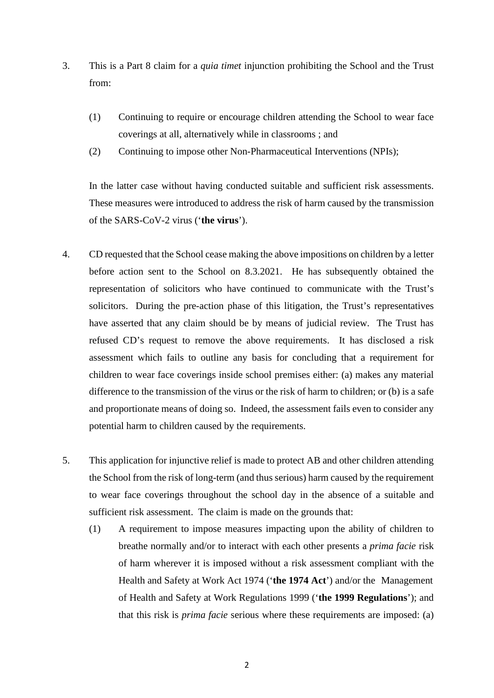- 3. This is a Part 8 claim for a *quia timet* injunction prohibiting the School and the Trust 3. This is a Part 8 claim for a *quia timet* injunction prohibiting the School and the Trust from: from:
	- (1) Continuing to require or encourage children attending the School to wear face (1) Continuing to require or encourage children attending the School to wear face coverings at all, alternatively while in classrooms ; and coverings at all, alternatively while in classrooms ; and
	- (2) Continuing to impose other Non-Pharmaceutical Interventions (NPIs); (2) Continuing to impose other Non-Pharmaceutical Interventions (NPIs);

In the latter case without having conducted suitable and sufficient risk assessments. In the latter case without having conducted suitable and sufficient risk assessments. These measures were introduced to address the risk of harm caused by the transmission These measures were introduced to address the risk of harm caused by the transmission of the SARS-CoV-2 virus **(`the virus').**  of the SARS-CoV-2 virus ('**the virus**').

- 4. CD requested that the School cease making the above impositions on children by a letter 4.CD requested that the School cease making the above impositions on children by a letter before action sent to the School on 8.3.2021. He has subsequently obtained the before action sent to the School on 8.3.2021. He has subsequently obtained the representation of solicitors who have continued to communicate with the Trust's representation of solicitors who have continued to communicate with the Trust's solicitors. During the pre-action phase of this litigation, the Trust's representatives solicitors. During the pre-action phase of this litigation, the Trust's representatives have asserted that any claim should be by means of judicial review. The Trust has have asserted that any claim should be by means of judicial review. The Trust has refused CD's request to remove the above requirements. It has disclosed a risk refused CD's request to remove the above requirements. It has disclosed a risk assessment which fails to outline any basis for concluding that a requirement for assessment which fails to outline any basis for concluding that a requirement for children to wear face coverings inside school premises either: (a) makes any material children to wear face coverings inside school premises either: (a) makes any material difference to the transmission of the virus or the risk of harm to children; or (b) is a safe difference to the transmission of the virus or the risk of harm to children; or (b) is a safe and proportionate means of doing so. Indeed, the assessment fails even to consider any and proportionate means of doing so. Indeed, the assessment fails even to consider any potential harm to children caused by the requirements. potential harm to children caused by the requirements.
- 5. This application for injunctive relief is made to protect AB and other children attending the School from the risk of long-term (and thus serious) harm caused by the requirement the School from the risk of long-term (and thus serious) harm caused by the requirement to wear face coverings throughout the school day in the absence of a suitable and to wear face coverings throughout the school day in the absence of a suitable and sufficient risk assessment. The claim is made on the grounds that:
	- (1) A requirement to impose measures impacting upon the ability of children to breathe normally and/or to interact with each other presents *a prima facie* risk breathe normally and/or to interact with each other presents a *prima facie* risk of harm wherever it is imposed without a risk assessment compliant with the of harm wherever it is imposed without a risk assessment compliant with the Health and Safety at Work Act 1974 **(`the 1974 Act')** and/or the Management Health and Safety at Work Act 1974 ('**the 1974 Act**') and/or the Management of Health and Safety at Work Regulations 1999 **(`the 1999 Regulations');** and of Health and Safety at Work Regulations 1999 ('**the 1999 Regulations**'); and that this risk is *prima facie* serious where these requirements are imposed: (a) that this risk is *prima facie* serious where these requirements are imposed: (a)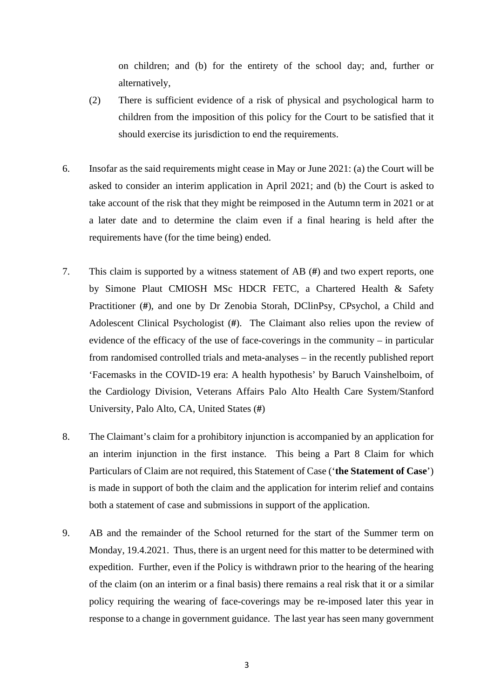on children; and (b) for the entirety of the school day; and, further or on children; and (b) for the entirety of the school day; and, further or alternatively, alternatively,

- (2) There is sufficient evidence of a risk of physical and psychological harm to children from the imposition of this policy for the Court to be satisfied that it should exercise its jurisdiction to end the requirements. should exercise its jurisdiction to end the requirements.
- 6. Insofar as the said requirements might cease in May or June 2021: (a) the Court will be 6. Insofar as the said requirements might cease in May or June 2021: (a) the Court will be asked to consider an interim application in April 2021; and (b) the Court is asked to asked to consider an interim application in April 2021; and (b) the Court is asked to take account of the risk that they might be reimposed in the Autumn term in 2021 or at take account of the risk that they might be reimposed in the Autumn term in 2021 or at a later date and to determine the claim even if a final hearing is held after the a later date and to determine the claim even if a final hearing is held after the requirements have (for the time being) ended.
- 7. This claim is supported by a witness statement of AB (#) and two expert reports, one 7. This claim is supported by a witness statement of AB (**#**) and two expert reports, one by Simone Plaut CMIOSH MSc HDCR FETC, a Chartered Health & Safety by Simone Plaut CMIOSH MSc HDCR FETC, a Chartered Health & Safety Practitioner (#), and one by Dr Zenobia Storah, DClinPsy, CPsychol, a Child and Practitioner (**#**), and one by Dr Zenobia Storah, DClinPsy, CPsychol, a Child and Adolescent Clinical Psychologist (#). The Claimant also relies upon the review of Adolescent Clinical Psychologist (**#**). The Claimant also relies upon the review of evidence of the efficacy of the use of face-coverings in the community – in particular from randomised controlled trials and meta-analyses — in the recently published report from randomised controlled trials and meta-analyses – in the recently published report `Facemasks in the COVID-19 era: A health hypothesis' by Baruch Vainshelboim, of 'Facemasks in the COVID-19 era: A health hypothesis' by Baruch Vainshelboim, of the Cardiology Division, Veterans Affairs Palo Alto Health Care System/Stanford the Cardiology Division, Veterans Affairs Palo Alto Health Care System/Stanford University, Palo Alto, CA, United States (#) University, Palo Alto, CA, United States (**#**)
- 8. The Claimant's claim for a prohibitory injunction is accompanied by an application for 8. The Claimant's claim for a prohibitory injunction is accompanied by an application for an interim injunction in the first instance. This being a Part 8 Claim for which an interim injunction in the first instance. This being a Part 8 Claim for which Particulars of Claim are not required, this Statement of Case **(`the Statement of Case')**  Particulars of Claim are not required, this Statement of Case ('**the Statement of Case**') is made in support of both the claim and the application for interim relief and contains is made in support of both the claim and the application for interim relief and contains both a statement of case and submissions in support of the application. both a statement of case and submissions in support of the application.
- 9. AB and the remainder of the School returned for the start of the Summer term on 9. AB and the remainder of the School returned for the start of the Summer term on Monday, 19.4.2021. Thus, there is an urgent need for this matter to be determined with Monday, 19.4.2021. Thus, there is an urgent need for this matter to be determined with expedition. Further, even if the Policy is withdrawn prior to the hearing of the hearing expedition. Further, even if the Policy is withdrawn prior to the hearing of the hearing of the claim (on an interim or a final basis) there remains a real risk that it or a similar policy requiring the wearing of face-coverings may be re-imposed later this year in policy requiring the wearing of face-coverings may be re-imposed later this year in response to a change in government guidance. The last year has seen many government response to a change in government guidance. The last year has seen many government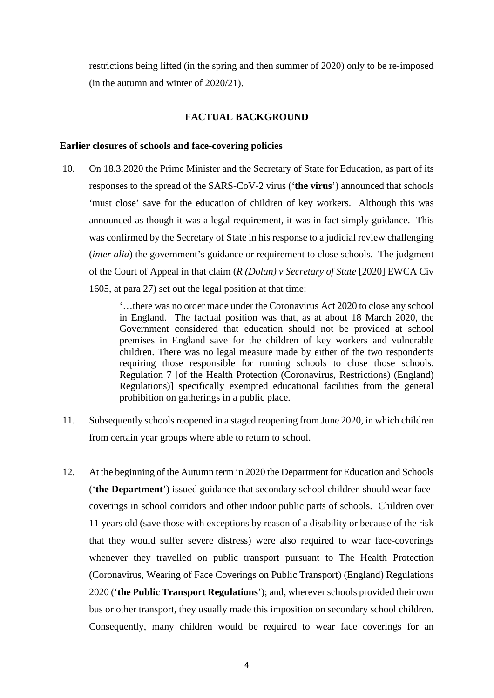restrictions being lifted (in the spring and then summer of 2020) only to be re-imposed (in the autumn and winter of 2020/21). (in the autumn and winter of 2020/21).

# **FACTUAL BACKGROUND FACTUAL BACKGROUND**

## **Earlier closures of schools and face-covering policies Earlier closures of schools and face-covering policies**

10. On 18.3.2020 the Prime Minister and the Secretary of State for Education, as part of its 10. On 18.3.2020 the Prime Minister and the Secretary of State for Education, as part of its responses to the spread of the SARS-CoV-2 virus **(`the virus')** announced that schools responses to the spread of the SARS-CoV-2 virus ('**the virus**') announced that schools `must close' save for the education of children of key workers. Although this was 'must close' save for the education of children of key workers. Although this was announced as though it was a legal requirement, it was in fact simply guidance. This announced as though it was a legal requirement, it was in fact simply guidance. This was confirmed by the Secretary of State in his response to a judicial review challenging was confirmed by the Secretary of State in his response to a judicial review challenging *(inter alia)* the government's guidance or requirement to close schools. The judgment (*inter alia*) the government's guidance or requirement to close schools. The judgment of the Court of Appeal in that claim *(R (Dolan) v Secretary of State* [2020] EWCA Civ of the Court of Appeal in that claim (*R (Dolan) v Secretary of State* [2020] EWCA Civ 1605, at para 27) set out the legal position at that time: 1605, at para 27) set out the legal position at that time:

> `...there was no order made under the Coronavirus Act 2020 to close any school '…there was no order made under the Coronavirus Act 2020 to close any school in England. The factual position was that, as at about 18 March 2020, the in England. The factual position was that, as at about 18 March 2020, the Government considered that education should not be provided at school Government considered that education should not be provided at school premises in England save for the children of key workers and vulnerable premises in England save for the children of key workers and vulnerable children. There was no legal measure made by either of the two respondents children. There was no legal measure made by either of the two respondents requiring those responsible for running schools to close those schools. requiring those responsible for running schools to close those schools. Regulation 7 [of the Health Protection (Coronavirus, Restrictions) (England) Regulation 7 [of the Health Protection (Coronavirus, Restrictions) (England) Regulations)] specifically exempted educational facilities from the general Regulations)] specifically exempted educational facilities from the general prohibition on gatherings in a public place. prohibition on gatherings in a public place.

- 11. Subsequently schools reopened in a staged reopening from June 2020, in which children 11. Subsequently schools reopened in a staged reopening from June 2020, in which children from certain year groups where able to return to school. from certain year groups where able to return to school.
- 12. At the beginning of the Autumn term in 2020 the Department for Education and Schools 12. At the beginning of the Autumn term in 2020 the Department for Education and Schools **(`the Department')** issued guidance that secondary school children should wear face-('**the Department**') issued guidance that secondary school children should wear facecoverings in school corridors and other indoor public parts of schools. Children over coverings in school corridors and other indoor public parts of schools. Children over 11 years old (save those with exceptions by reason of a disability or because of the risk 11 years old (save those with exceptions by reason of a disability or because of the risk that they would suffer severe distress) were also required to wear face-coverings that they would suffer severe distress) were also required to wear face-coverings whenever they travelled on public transport pursuant to The Health Protection whenever they travelled on public transport pursuant to The Health Protection (Coronavirus, Wearing of Face Coverings on Public Transport) (England) Regulations (Coronavirus, Wearing of Face Coverings on Public Transport) (England) Regulations 2020 **(`the Public Transport Regulations');** and, wherever schools provided their own 2020 ('**the Public Transport Regulations**'); and, wherever schools provided their own bus or other transport, they usually made this imposition on secondary school children. bus or other transport, they usually made this imposition on secondary school children. Consequently, many children would be required to wear face coverings for an Consequently, many children would be required to wear face coverings for an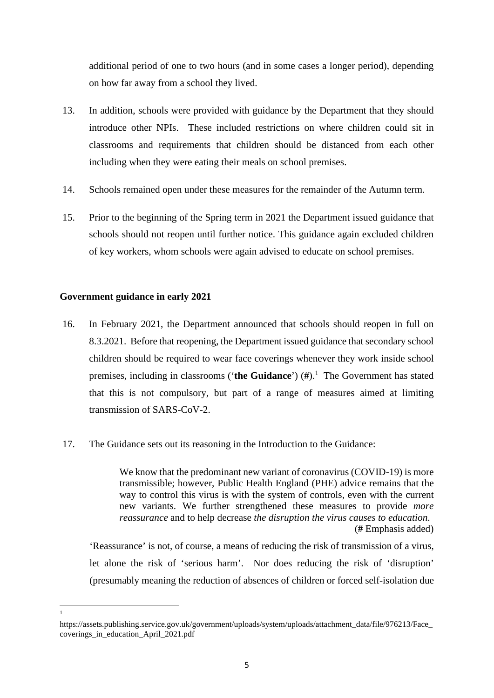additional period of one to two hours (and in some cases a longer period), depending additional period of one to two hours (and in some cases a longer period), depending on how far away from a school they lived. on how far away from a school they lived.

- 13. In addition, schools were provided with guidance by the Department that they should 13. In addition, schools were provided with guidance by the Department that they should introduce other NPIs. These included restrictions on where children could sit in introduce other NPIs. These included restrictions on where children could sit in classrooms and requirements that children should be distanced from each other classrooms and requirements that children should be distanced from each other including when they were eating their meals on school premises. including when they were eating their meals on school premises.
- 14. Schools remained open under these measures for the remainder of the Autumn term. 14. Schools remained open under these measures for the remainder of the Autumn term.
- 15. Prior to the beginning of the Spring term in 2021 the Department issued guidance that 15. Prior to the beginning of the Spring term in 2021 the Department issued guidance that schools should not reopen until further notice. This guidance again excluded children schools should not reopen until further notice. This guidance again excluded children of key workers, whom schools were again advised to educate on school premises. of key workers, whom schools were again advised to educate on school premises.

# **Government guidance in early 2021 Government guidance in early 2021**

- 16. In February 2021, the Department announced that schools should reopen in full on 16. In February 2021, the Department announced that schools should reopen in full on 8.3.2021. Before that reopening, the Department issued guidance that secondary school 8.3.2021. Before that reopening, the Department issued guidance that secondary school children should be required to wear face coverings whenever they work inside school premises, including in classrooms **(`the Guidance') (#).1** The Government has stated premises, including in classrooms ('**the Guidance**') (**#**).<sup>1</sup> The Government has stated that this is not compulsory, but part of a range of measures aimed at limiting that this is not compulsory, but part of a range of measures aimed at limiting transmission of SARS-CoV-2. transmission of SARS-CoV-2.
- 17. The Guidance sets out its reasoning in the Introduction to the Guidance:

We know that the predominant new variant of coronavirus (COVID-19) is more We know that the predominant new variant of coronavirus (COVID-19) is more transmissible; however, Public Health England (PHE) advice remains that the transmissible; however, Public Health England (PHE) advice remains that the way to control this virus is with the system of controls, even with the current new variants. We further strengthened these measures to provide *more*  new variants. We further strengthened these measures to provide *more reassurance* and to help decrease *the disruption the virus causes to education. reassurance* and to help decrease *the disruption the virus causes to education*. (# Emphasis added) (**#** Emphasis added)

`Reassurance' is not, of course, a means of reducing the risk of transmission of a virus, 'Reassurance' is not, of course, a means of reducing the risk of transmission of a virus, let alone the risk of 'serious harm'. Nor does reducing the risk of 'disruption' (presumably meaning the reduction of absences of children or forced self-isolation due (presumably meaning the reduction of absences of children or forced self-isolation due

1 1

http s://assets.publi shing. service.g ov.uk/government/uploads/system/uploads/attachment\_data/file/976213/Face\_ https://assets.publishing.service.gov.uk/government/uploads/system/uploads/attachment\_data/file/976213/Face\_ coverings\_in\_education\_April\_2021.pdf coverings\_in\_education\_April\_2021.pdf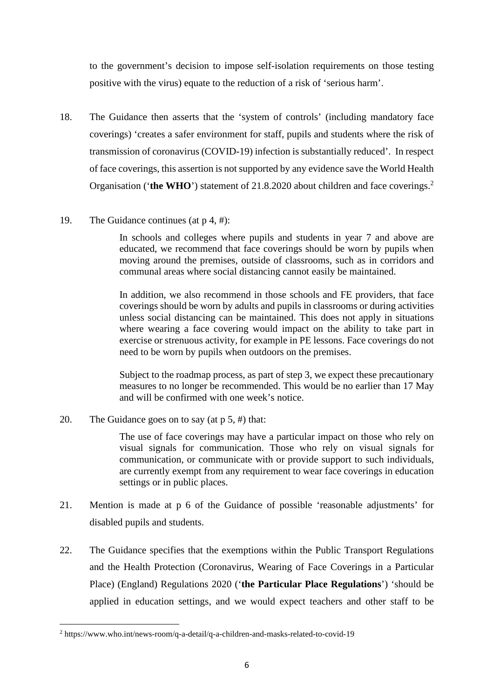to the government's decision to impose self-isolation requirements on those testing to the government's decision to impose self-isolation requirements on those testing positive with the virus) equate to the reduction of a risk of 'serious harm'. positive with the virus) equate to the reduction of a risk of 'serious harm'.

- 18. The Guidance then asserts that the 'system of controls' (including mandatory face 18. The Guidance then asserts that the 'system of controls' (including mandatory face coverings) 'creates a safer environment for staff, pupils and students where the risk of coverings) 'creates a safer environment for staff, pupils and students where the risk of transmission of coronavirus (COVID-19) infection is substantially reduced'. In respect transmission of coronavirus (COVID-19) infection is substantially reduced'. In respect of face coverings, this assertion is not supported by any evidence save the World Health Organisation ('the WHO') statement of 21.8.2020 about children and face coverings.<sup>2</sup>
- 19. The Guidance continues (at  $p$  4, #):

In schools and colleges where pupils and students in year 7 and above are In schools and colleges where pupils and students in year 7 and above are educated, we recommend that face coverings should be worn by pupils when educated, we recommend that face coverings should be worn by pupils when moving around the premises, outside of classrooms, such as in corridors and moving around the premises, outside of classrooms, such as in corridors and communal areas where social distancing cannot easily be maintained. communal areas where social distancing cannot easily be maintained.

In addition, we also recommend in those schools and FE providers, that face In addition, we also recommend in those schools and FE providers, that face coverings should be worn by adults and pupils in classrooms or during activities coverings should be worn by adults and pupils in classrooms or during activities unless social distancing can be maintained. This does not apply in situations unless social distancing can be maintained. This does not apply in situations where wearing a face covering would impact on the ability to take part in where wearing a face covering would impact on the ability to take part in exercise or strenuous activity, for example in PE lessons. Face coverings do not exercise or strenuous activity, for example in PE lessons. Face coverings do not need to be worn by pupils when outdoors on the premises. need to be worn by pupils when outdoors on the premises.

Subject to the roadmap process, as part of step 3, we expect these precautionary Subject to the roadmap process, as part of step 3, we expect these precautionary measures to no longer be recommended. This would be no earlier than 17 May measures to no longer be recommended. This would be no earlier than 17 May and will be confirmed with one week's notice. and will be confirmed with one week's notice.

20. The Guidance goes on to say (at p 5, #) that: 20. The Guidance goes on to say (at p 5, #) that:

The use of face coverings may have a particular impact on those who rely on The use of face coverings may have a particular impact on those who rely on visual signals for communication. Those who rely on visual signals for visual signals for communication. Those who rely on visual signals for communication, or communicate with or provide support to such individuals, communication, or communicate with or provide support to such individuals, are currently exempt from any requirement to wear face coverings in education are currently exempt from any requirement to wear face coverings in education settings or in public places. settings or in public places.

- 21. Mention is made at p 6 of the Guidance of possible 'reasonable adjustments' for 21. Mention is made at p 6 of the Guidance of possible 'reasonable adjustments' for disabled pupils and students. disabled pupils and students.
- 22. The Guidance specifies that the exemptions within the Public Transport Regulations 22. The Guidance specifies that the exemptions within the Public Transport Regulations and the Health Protection (Coronavirus, Wearing of Face Coverings in a Particular Place) (England) Regulations 2020 **(`the Particular Place Regulations')** 'should be Place) (England) Regulations 2020 ('**the Particular Place Regulations**') 'should be applied in education settings, and we would expect teachers and other staff to be applied in education settings, and we would expect teachers and other staff to be

 $2 \text{ https://www.who.int/news-room/q-a-detail/q-a-children-and-masks-related-to-covid-19}$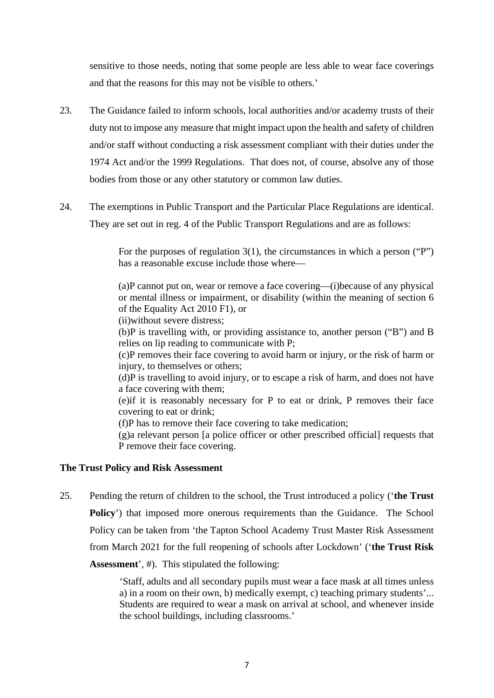sensitive to those needs, noting that some people are less able to wear face coverings sensitive to those needs, noting that some people are less able to wear face coverings and that the reasons for this may not be visible to others.' and that the reasons for this may not be visible to others.'

- 23. The Guidance failed to inform schools, local authorities and/or academy trusts of their 23. The Guidance failed to inform schools, local authorities and/or academy trusts of their duty not to impose any measure that might impact upon the health and safety of children duty not to impose any measure that might impact upon the health and safety of children and/or staff without conducting a risk assessment compliant with their duties under the and/or staff without conducting a risk assessment compliant with their duties under the 1974 Act and/or the 1999 Regulations. That does not, of course, absolve any of those 1974 Act and/or the 1999 Regulations. That does not, of course, absolve any of those bodies from those or any other statutory or common law duties. bodies from those or any other statutory or common law duties.
- 24. The exemptions in Public Transport and the Particular Place Regulations are identical. 24. The exemptions in Public Transport and the Particular Place Regulations are identical. They are set out in reg. 4 of the Public Transport Regulations and are as follows: They are set out in reg. 4 of the Public Transport Regulations and are as follows:

For the purposes of regulation 3(1), the circumstances in which a person ("P") For the purposes of regulation 3(1), the circumstances in which a person ("P") has a reasonable excuse include those where— has a reasonable excuse include those where—

(a)P cannot put on, wear or remove a face covering—(i)because of any physical (a)P cannot put on, wear or remove a face covering—(i)because of any physical or mental illness or impairment, or disability (within the meaning of section 6 or mental illness or impairment, or disability (within the meaning of section 6 of the Equality Act 2010 F1), or of the Equality Act 2010 F1), or

(ii)without severe distress; (ii)without severe distress;

(b)P is travelling with, or providing assistance to, another person ("B") and B (b)P is travelling with, or providing assistance to, another person ("B") and B relies on lip reading to communicate with P;

(c)P removes their face covering to avoid harm or injury, or the risk of harm or (c)P removes their face covering to avoid harm or injury, or the risk of harm or injury, to themselves or others; injury, to themselves or others;

(d)P is travelling to avoid injury, or to escape a risk of harm, and does not have (d)P is travelling to avoid injury, or to escape a risk of harm, and does not have a face covering with them; a face covering with them;

(e)if it is reasonably necessary for P to eat or drink, P removes their face (e)if it is reasonably necessary for P to eat or drink, P removes their face covering to eat or drink; covering to eat or drink;

(f)P has to remove their face covering to take medication; (f)P has to remove their face covering to take medication;

(g)a relevant person [a police officer or other prescribed official] requests that (g)a relevant person [a police officer or other prescribed official] requests that P remove their face covering. P remove their face covering.

# **The Trust Policy and Risk Assessment The Trust Policy and Risk Assessment**

25. Pending the return of children to the school, the Trust introduced a policy **(`the Trust**  25. Pending the return of children to the school, the Trust introduced a policy ('**the Trust Policy')** that imposed more onerous requirements than the Guidance. The School **Policy**') that imposed more onerous requirements than the Guidance. The School Policy can be taken from 'the Tapton School Academy Trust Master Risk Assessment Policy can be taken from 'the Tapton School Academy Trust Master Risk Assessment from March 2021 for the full reopening of schools after Lockdown' **(`the Trust Risk**  from March 2021 for the full reopening of schools after Lockdown' ('**the Trust Risk Assessment', #).** This stipulated the following: **Assessment**', #). This stipulated the following:

> `Staff, adults and all secondary pupils must wear a face mask at all times unless 'Staff, adults and all secondary pupils must wear a face mask at all times unless a) in a room on their own, b) medically exempt, c) teaching primary students'... a) in a room on their own, b) medically exempt, c) teaching primary students'... Students are required to wear a mask on arrival at school, and whenever inside Students are required to wear a mask on arrival at school, and whenever inside the school buildings, including classrooms.' the school buildings, including classrooms.'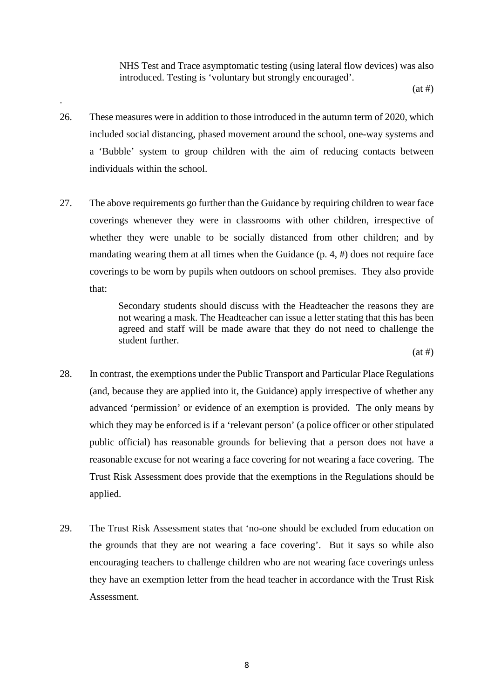NHS Test and Trace asymptomatic testing (using lateral flow devices) was also NHS Test and Trace asymptomatic testing (using lateral flow devices) was also introduced. Testing is 'voluntary but strongly encouraged'. introduced. Testing is 'voluntary but strongly encouraged'.

(at #) (at #)

26. These measures were in addition to those introduced in the autumn term of 2020, which 26. These measures were in addition to those introduced in the autumn term of 2020, which included social distancing, phased movement around the school, one-way systems and included social distancing, phased movement around the school, one-way systems and a 'Bubble' system to group children with the aim of reducing contacts between a 'Bubble' system to group children with the aim of reducing contacts between individuals within the school. individuals within the school.

.

27. The above requirements go further than the Guidance by requiring children to wear face 27. The above requirements go further than the Guidance by requiring children to wear face coverings whenever they were in classrooms with other children, irrespective of coverings whenever they were in classrooms with other children, irrespective of whether they were unable to be socially distanced from other children; and by whether they were unable to be socially distanced from other children; and by mandating wearing them at all times when the Guidance (p. 4, #) does not require face mandating wearing them at all times when the Guidance (p. 4, #) does not require face coverings to be worn by pupils when outdoors on school premises. They also provide coverings to be worn by pupils when outdoors on school premises. They also provide that: that:

> Secondary students should discuss with the Headteacher the reasons they are Secondary students should discuss with the Headteacher the reasons they are not wearing a mask. The Headteacher can issue a letter stating that this has been not wearing a mask. The Headteacher can issue a letter stating that this has been agreed and staff will be made aware that they do not need to challenge the agreed and staff will be made aware that they do not need to challenge the student further. student further.

 $(at \#)$ 

- 28. In contrast, the exemptions under the Public Transport and Particular Place Regulations 28. In contrast, the exemptions under the Public Transport and Particular Place Regulations (and, because they are applied into it, the Guidance) apply irrespective of whether any (and, because they are applied into it, the Guidance) apply irrespective of whether any advanced 'permission' or evidence of an exemption is provided. The only means by advanced 'permission' or evidence of an exemption is provided. The only means by which they may be enforced is if a 'relevant person' (a police officer or other stipulated which they may be enforced is if a 'relevant person' (a police officer or other stipulated public official) has reasonable grounds for believing that a person does not have a public official) has reasonable grounds for believing that a person does not have a reasonable excuse for not wearing a face covering for not wearing a face covering. The reasonable excuse for not wearing a face covering for not wearing a face covering. The Trust Risk Assessment does provide that the exemptions in the Regulations should be Trust Risk Assessment does provide that the exemptions in the Regulations should be applied. applied.
- 29. The Trust Risk Assessment states that 'no-one should be excluded from education on 29. The Trust Risk Assessment states that 'no-one should be excluded from education on the grounds that they are not wearing a face covering'. But it says so while also encouraging teachers to challenge children who are not wearing face coverings unless encouraging teachers to challenge children who are not wearing face coverings unless they have an exemption letter from the head teacher in accordance with the Trust Risk they have an exemption letter from the head teacher in accordance with the Trust Risk Assessment. Assessment.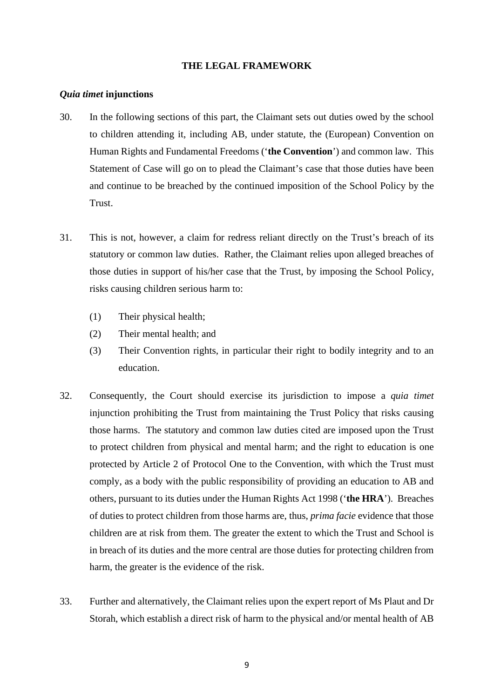# **THE LEGAL FRAMEWORK THE LEGAL FRAMEWORK**

# *Quia timet* **injunctions**  *Quia timet* **injunctions**

- 30. In the following sections of this part, the Claimant sets out duties owed by the school 30. In the following sections of this part, the Claimant sets out duties owed by the school to children attending it, including AB, under statute, the (European) Convention on to children attending it, including AB, under statute, the (European) Convention on Human Rights and Fundamental Freedoms **(`the Convention')** and common law. This Human Rights and Fundamental Freedoms ('**the Convention**') and common law. This Statement of Case will go on to plead the Claimant's case that those duties have been Statement of Case will go on to plead the Claimant's case that those duties have been and continue to be breached by the continued imposition of the School Policy by the and continue to be breached by the continued imposition of the School Policy by the Trust. Trust.
- 31. This is not, however, a claim for redress reliant directly on the Trust's breach of its 31. This is not, however, a claim for redress reliant directly on the Trust's breach of its statutory or common law duties. Rather, the Claimant relies upon alleged breaches of statutory or common law duties. Rather, the Claimant relies upon alleged breaches of those duties in support of his/her case that the Trust, by imposing the School Policy, those duties in support of his/her case that the Trust, by imposing the School Policy, risks causing children serious harm to: risks causing children serious harm to:
	- (1) Their physical health; (1) Their physical health;
	- (2) Their mental health; and (2) Their mental health; and
	- (3) Their Convention rights, in particular their right to bodily integrity and to an (3) Their Convention rights, in particular their right to bodily integrity and to an education. education.
- 32. Consequently, the Court should exercise its jurisdiction to impose a *quia timet*  32.Consequently, the Court should exercise its jurisdiction to impose a *quia timet* injunction prohibiting the Trust from maintaining the Trust Policy that risks causing injunction prohibiting the Trust from maintaining the Trust Policy that risks causing those harms. The statutory and common law duties cited are imposed upon the Trust those harms. The statutory and common law duties cited are imposed upon the Trust to protect children from physical and mental harm; and the right to education is one to protect children from physical and mental harm; and the right to education is one protected by Article 2 of Protocol One to the Convention, with which the Trust must protected by Article 2 of Protocol One to the Convention, with which the Trust must comply, as a body with the public responsibility of providing an education to AB and comply, as a body with the public responsibility of providing an education to AB and others, pursuant to its duties under the Human Rights Act 1998 **(`the HRA').** Breaches others, pursuant to its duties under the Human Rights Act 1998 ('**the HRA**'). Breaches of duties to protect children from those harms are, thus, *prima facie* evidence that those of duties to protect children from those harms are, thus, *prima facie* evidence that those children are at risk from them. The greater the extent to which the Trust and School is children are at risk from them. The greater the extent to which the Trust and School is in breach of its duties and the more central are those duties for protecting children from in breach of its duties and the more central are those duties for protecting children from harm, the greater is the evidence of the risk. harm, the greater is the evidence of the risk.
- 33. Further and alternatively, the Claimant relies upon the expert report of Ms Plaut and Dr Storah, which establish a direct risk of harm to the physical and/or mental health of AB Storah, which establish a direct risk of harm to the physical and/or mental health of AB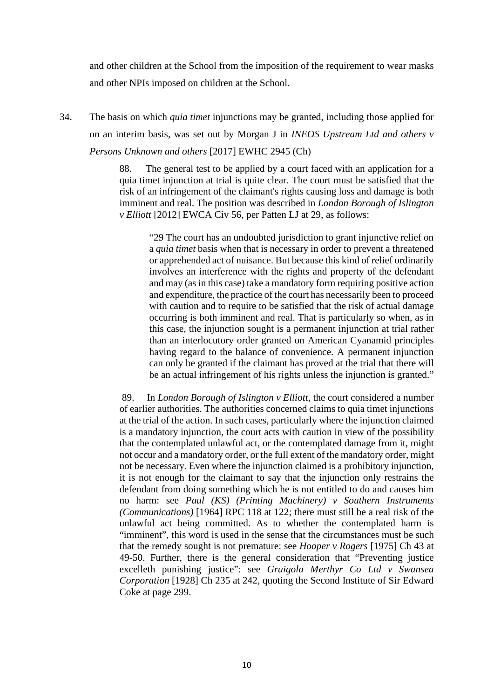and other children at the School from the imposition of the requirement to wear masks and other children at the School from the imposition of the requirement to wear masks and other NPIs imposed on children at the School. and other NPIs imposed on children at the School.

34. The basis on which *quia timet* injunctions may be granted, including those applied for 34. The basis on which *quia timet* injunctions may be granted, including those applied for on an interim basis, was set out by Morgan J in *INEOS Upstream Ltd and others v*  on an interim basis, was set out by Morgan J in *INEOS Upstream Ltd and others v Persons Unknown and others* [2017] EWHC 2945 (Ch) *Persons Unknown and others* [2017] EWHC 2945 (Ch)

> 88. The general test to be applied by a court faced with an application for a 88. The general test to be applied by a court faced with an application for a quia timet injunction at trial is quite clear. The court must be satisfied that the quia timet injunction at trial is quite clear. The court must be satisfied that the risk of an infringement of the claimant's rights causing loss and damage is both risk of an infringement of the claimant's rights causing loss and damage is both imminent and real. The position was described in *London Borough of Islington*  imminent and real. The position was described in *London Borough of Islington v Elliott* [2012] EWCA Civ 56, per Patten LJ at 29, as follows: *v Elliott* [2012] EWCA Civ 56, per Patten LJ at 29, as follows:

"29 The court has an undoubted jurisdiction to grant injunctive relief on "29 The court has an undoubted jurisdiction to grant injunctive relief on a *quia timet* basis when that is necessary in order to prevent a threatened a *quia timet* basis when that is necessary in order to prevent a threatened or apprehended act of nuisance. But because this kind of relief ordinarily or apprehended act of nuisance. But because this kind of relief ordinarily involves an interference with the rights and property of the defendant involves an interference with the rights and property of the defendant and may (as in this case) take a mandatory form requiring positive action and may (as in this case) take a mandatory form requiring positive action and expenditure, the practice of the court has necessarily been to proceed and expenditure, the practice of the court has necessarily been to proceed with caution and to require to be satisfied that the risk of actual damage with caution and to require to be satisfied that the risk of actual damage occurring is both imminent and real. That is particularly so when, as in occurring is both imminent and real. That is particularly so when, as in this case, the injunction sought is a permanent injunction at trial rather this case, the injunction sought is a permanent injunction at trial rather than an interlocutory order granted on American Cyanamid principles than an interlocutory order granted on American Cyanamid principles having regard to the balance of convenience. A permanent injunction having regard to the balance of convenience. A permanent injunction can only be granted if the claimant has proved at the trial that there will can only be granted if the claimant has proved at the trial that there will be an actual infringement of his rights unless the injunction is granted." be an actual infringement of his rights unless the injunction is granted."

89. In *London Borough of Islington v Elliott,* the court considered a number 89. In *London Borough of Islington v Elliott*, the court considered a number of earlier authorities. The authorities concerned claims to quia timet injunctions of earlier authorities. The authorities concerned claims to quia timet injunctions at the trial of the action. In such cases, particularly where the injunction claimed at the trial of the action. In such cases, particularly where the injunction claimed is a mandatory injunction, the court acts with caution in view of the possibility is a mandatory injunction, the court acts with caution in view of the possibility that the contemplated unlawful act, or the contemplated damage from it, might that the contemplated unlawful act, or the contemplated damage from it, might not occur and a mandatory order, or the full extent of the mandatory order, might not occur and a mandatory order, or the full extent of the mandatory order, might not be necessary. Even where the injunction claimed is a prohibitory injunction, not be necessary. Even where the injunction claimed is a prohibitory injunction, it is not enough for the claimant to say that the injunction only restrains the defendant from doing something which he is not entitled to do and causes him defendant from doing something which he is not entitled to do and causes him no harm: see *Paul (KS) (Printing Machinery) v Southern Instruments*  no harm: see *Paul (KS) (Printing Machinery) v Southern Instruments (Communications)* [1964] RPC 118 at 122; there must still be a real risk of the *(Communications)* [1964] RPC 118 at 122; there must still be a real risk of the unlawful act being committed. As to whether the contemplated harm is unlawful act being committed. As to whether the contemplated harm is "imminent", this word is used in the sense that the circumstances must be such "imminent", this word is used in the sense that the circumstances must be such that the remedy sought is not premature: see *Hooper v Rogers* [1975] Ch 43 at that the remedy sought is not premature: see *Hooper v Rogers* [1975] Ch 43 at 49-50. Further, there is the general consideration that "Preventing justice 49-50. Further, there is the general consideration that "Preventing justice excelleth punishing justice": see *Graigola Merthyr Co Ltd v Swansea*  excelleth punishing justice": see *Graigola Merthyr Co Ltd v Swansea Corporation* [1928] Ch 235 at 242, quoting the Second Institute of Sir Edward *Corporation* [1928] Ch 235 at 242, quoting the Second Institute of Sir Edward Coke at page 299. Coke at page 299.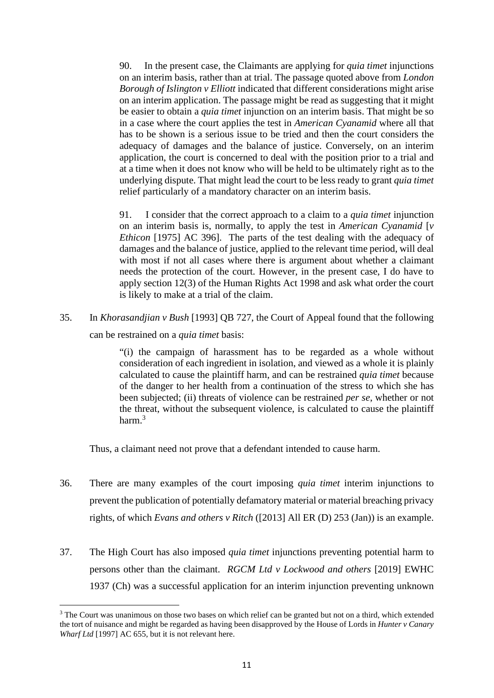90. In the present case, the Claimants are applying for *quia timet* injunctions 90. In the present case, the Claimants are applying for *quia timet* injunctions on an interim basis, rather than at trial. The passage quoted above from *London Borough of Islington v Elliott* indicated that different considerations might arise *Borough of Islington v Elliott* indicated that different considerations might arise on an interim application. The passage might be read as suggesting that it might be easier to obtain a *quia timet* injunction on an interim basis. That might be so be easier to obtain a *quia timet* injunction on an interim basis. That might be so in a case where the court applies the test in *American Cyanamid* where all that in a case where the court applies the test in *American Cyanamid* where all that has to be shown is a serious issue to be tried and then the court considers the has to be shown is a serious issue to be tried and then the court considers the adequacy of damages and the balance of justice. Conversely, on an interim adequacy of damages and the balance of justice. Conversely, on an interim application, the court is concerned to deal with the position prior to a trial and application, the court is concerned to deal with the position prior to a trial and at a time when it does not know who will be held to be ultimately right as to the at a time when it does not know who will be held to be ultimately right as to the underlying dispute. That might lead the court to be less ready to grant *quia timet*  underlying dispute. That might lead the court to be less ready to grant *quia timet* relief particularly of a mandatory character on an interim basis. relief particularly of a mandatory character on an interim basis.

91. I consider that the correct approach to a claim to a *quia timet* injunction 91. I consider that the correct approach to a claim to a *quia timet* injunction on an interim basis is, normally, to apply the test in *American Cyanamid* [v *Ethicon* [1975] AC 396]. The parts of the test dealing with the adequacy of *Ethicon* [1975] AC 396]. The parts of the test dealing with the adequacy of damages and the balance of justice, applied to the relevant time period, will deal damages and the balance of justice, applied to the relevant time period, will deal with most if not all cases where there is argument about whether a claimant with most if not all cases where there is argument about whether a claimant needs the protection of the court. However, in the present case, I do have to needs the protection of the court. However, in the present case, I do have to apply section 12(3) of the Human Rights Act 1998 and ask what order the court apply section 12(3) of the Human Rights Act 1998 and ask what order the court is likely to make at a trial of the claim. is likely to make at a trial of the claim.

35. In *Khorasandjian v Bush* [1993] QB 727, the Court of Appeal found that the following 35. In *Khorasandjian v Bush* [1993] QB 727, the Court of Appeal found that the following

can be restrained on a *quia timet* basis: can be restrained on a *quia timet* basis:

"(i) the campaign of harassment has to be regarded as a whole without "(i) the campaign of harassment has to be regarded as a whole without consideration of each ingredient in isolation, and viewed as a whole it is plainly consideration of each ingredient in isolation, and viewed as a whole it is plainly calculated to cause the plaintiff harm, and can be restrained *quia timet* because calculated to cause the plaintiff harm, and can be restrained *quia timet* because of the danger to her health from a continuation of the stress to which she has been subjected; (ii) threats of violence can be restrained *per se,* whether or not been subjected; (ii) threats of violence can be restrained *per se*, whether or not the threat, without the subsequent violence, is calculated to cause the plaintiff the threat, without the subsequent violence, is calculated to cause the plaintiff harm. $3$ 

Thus, a claimant need not prove that a defendant intended to cause harm. Thus, a claimant need not prove that a defendant intended to cause harm.

- 36. There are many examples of the court imposing *quia timet* interim injunctions to 36. There are many examples of the court imposing *quia timet* interim injunctions to prevent the publication of potentially defamatory material or material breaching privacy prevent the publication of potentially defamatory material or material breaching privacy rights, of which *Evans and others v Ritch* ([2013] All ER (D) 253 (Jan)) is an example. rights, of which *Evans and others v Ritch* ([2013] All ER (D) 253 (Jan)) is an example.
- 37. The High Court has also imposed *quia timet* injunctions preventing potential harm to 37. The High Court has also imposed *quia timet* injunctions preventing potential harm to persons other than the claimant. *RGCM Ltd v Lockwood and others* [2019] EWHC persons other than the claimant. *RGCM Ltd v Lockwood and others* [2019] EWHC 1937 (Ch) was a successful application for an interim injunction preventing unknown 1937 (Ch) was a successful application for an interim injunction preventing unknown

 $3$  The Court was unanimous on those two bases on which relief can be granted but not on a third, which extended the tort of nuisance and might be regarded as having been disapproved by the House of Lords in *Hunter v Canary Wharf Ltd* [1997] AC 655, but it is not relevant here. *Wharf Ltd* [1997] AC 655, but it is not relevant here.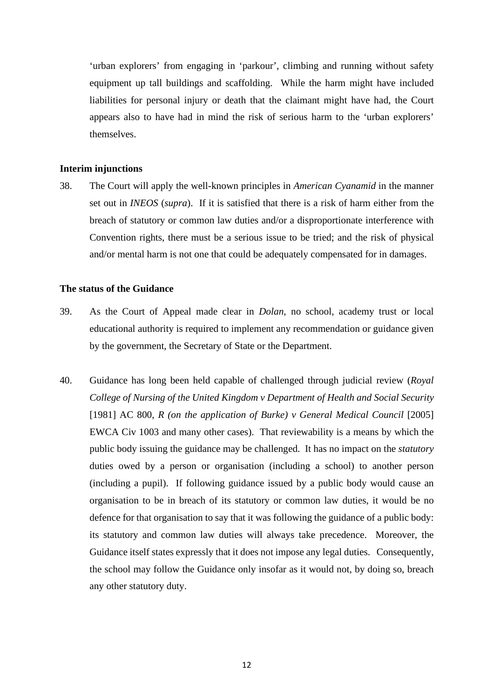`urban explorers' from engaging in `parkour', climbing and running without safety 'urban explorers' from engaging in 'parkour', climbing and running without safety equipment up tall buildings and scaffolding. While the harm might have included equipment up tall buildings and scaffolding. While the harm might have included liabilities for personal injury or death that the claimant might have had, the Court liabilities for personal injury or death that the claimant might have had, the Court appears also to have had in mind the risk of serious harm to the 'urban explorers' appears also to have had in mind the risk of serious harm to the 'urban explorers' themselves. themselves.

#### **Interim injunctions Interim injunctions**

38. The Court will apply the well-known principles in *American Cyanamid* in the manner 38. The Court will apply the well-known principles in *American Cyanamid* in the manner set out in *INEOS (supra).* If it is satisfied that there is a risk of harm either from the set out in *INEOS* (*supra*). If it is satisfied that there is a risk of harm either from the breach of statutory or common law duties and/or a disproportionate interference with breach of statutory or common law duties and/or a disproportionate interference with Convention rights, there must be a serious issue to be tried; and the risk of physical Convention rights, there must be a serious issue to be tried; and the risk of physical and/or mental harm is not one that could be adequately compensated for in damages. and/or mental harm is not one that could be adequately compensated for in damages.

#### **The status of the Guidance The status of the Guidance**

- 39. As the Court of Appeal made clear in *Dolan,* no school, academy trust or local 39. As the Court of Appeal made clear in *Dolan*, no school, academy trust or local educational authority is required to implement any recommendation or guidance given educational authority is required to implement any recommendation or guidance given by the government, the Secretary of State or the Department. by the government, the Secretary of State or the Department.
- 40. Guidance has long been held capable of challenged through judicial review *(Royal*  40. Guidance has long been held capable of challenged through judicial review (*Royal College of Nursing of the United Kingdom v Department of Health and Social Security College of Nursing of the United Kingdom v Department of Health and Social Security* [1981] AC 800, *R* (on the application of Burke) v General Medical Council [2005] EWCA Civ 1003 and many other cases). That reviewability is a means by which the EWCA Civ 1003 and many other cases). That reviewability is a means by which the public body issuing the guidance may be challenged. It has no impact on the *statutory*  public body issuing the guidance may be challenged. It has no impact on the *statutory* duties owed by a person or organisation (including a school) to another person duties owed by a person or organisation (including a school) to another person (including a pupil). If following guidance issued by a public body would cause an (including a pupil). If following guidance issued by a public body would cause an organisation to be in breach of its statutory or common law duties, it would be no defence for that organisation to say that it was following the guidance of a public body: defence for that organisation to say that it was following the guidance of a public body: its statutory and common law duties will always take precedence. Moreover, the its statutory and common law duties will always take precedence. Moreover, the Guidance itself states expressly that it does not impose any legal duties. Consequently, Guidance itself states expressly that it does not impose any legal duties. Consequently, the school may follow the Guidance only insofar as it would not, by doing so, breach the school may follow the Guidance only insofar as it would not, by doing so, breach any other statutory duty. any other statutory duty.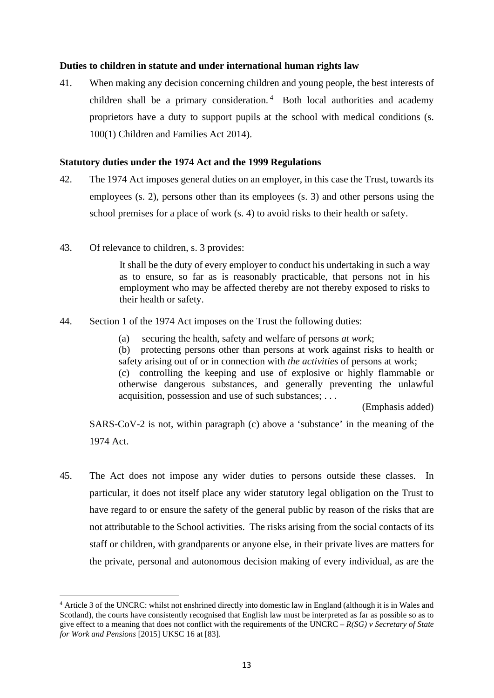# **Duties to children in statute and under international human rights law Duties to children in statute and under international human rights law**

41. When making any decision concerning children and young people, the best interests of children shall be a primary consideration.<sup>4</sup> Both local authorities and academy proprietors have a duty to support pupils at the school with medical conditions (s. proprietors have a duty to support pupils at the school with medical conditions (s. 100(1) Children and Families Act 2014). 100(1) Children and Families Act 2014).

# **Statutory duties under the 1974 Act and the 1999 Regulations Statutory duties under the 1974 Act and the 1999 Regulations**

- 42. The 1974 Act imposes general duties on an employer, in this case the Trust, towards its employees (s. 2), persons other than its employees (s. 3) and other persons using the school premises for a place of work (s. 4) to avoid risks to their health or safety. school premises for a place of work (s. 4) to avoid risks to their health or safety.
- 43. Of relevance to children, s. 3 provides:

It shall be the duty of every employer to conduct his undertaking in such a way It shall be the duty of every employer to conduct his undertaking in such a way as to ensure, so far as is reasonably practicable, that persons not in his as to ensure, so far as is reasonably practicable, that persons not in his employment who may be affected thereby are not thereby exposed to risks to employment who may be affected thereby are not thereby exposed to risks to their health or safety. their health or safety.

- 44. Section 1 of the 1974 Act imposes on the Trust the following duties:
	- (a) securing the health, safety and welfare of persons *at work;*  (a) securing the health, safety and welfare of persons *at work*;

(b) protecting persons other than persons at work against risks to health or (b) protecting persons other than persons at work against risks to health or safety arising out of or in connection with *the activities* of persons at work; safety arising out of or in connection with *the activities* of persons at work;

(c) controlling the keeping and use of explosive or highly flammable or (c) controlling the keeping and use of explosive or highly flammable or otherwise dangerous substances, and generally preventing the unlawful otherwise dangerous substances, and generally preventing the unlawful acquisition, possession and use of such substances; . . . acquisition, possession and use of such substances; . . .

(Emphasis added) (Emphasis added)

SARS-CoV-2 is not, within paragraph (c) above a 'substance' in the meaning of the SARS-CoV-2 is not, within paragraph (c) above a 'substance' in the meaning of the 1974 Act. 1974 Act.

45. The Act does not impose any wider duties to persons outside these classes. In particular, it does not itself place any wider statutory legal obligation on the Trust to particular, it does not itself place any wider statutory legal obligation on the Trust to have regard to or ensure the safety of the general public by reason of the risks that are have regard to or ensure the safety of the general public by reason of the risks that are not attributable to the School activities. The risks arising from the social contacts of its not attributable to the School activities. The risks arising from the social contacts of its staff or children, with grandparents or anyone else, in their private lives are matters for staff or children, with grandparents or anyone else, in their private lives are matters for the private, personal and autonomous decision making of every individual, as are the the private, personal and autonomous decision making of every individual, as are the

<sup>&</sup>lt;sup>4</sup> Article 3 of the UNCRC: whilst not enshrined directly into domestic law in England (although it is in Wales and Scotland), the courts have consistently recognised that English law must be interpreted as far as possible so as to give effect to a meaning that does not conflict with the requirements of the UNCRC –  $R(SG)$  v Secretary of State *for Work and Pensions* [2015] UKSC 16 at [83]. *for Work and Pensions* [2015] UKSC 16 at [83].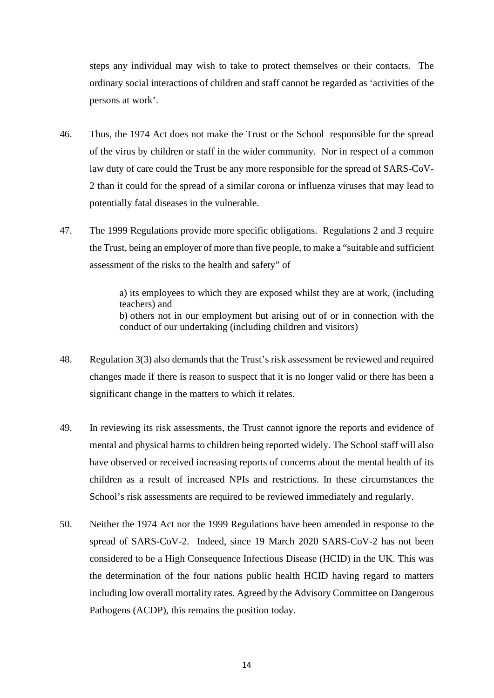steps any individual may wish to take to protect themselves or their contacts. The steps any individual may wish to take to protect themselves or their contacts. The ordinary social interactions of children and staff cannot be regarded as 'activities of the ordinary social interactions of children and staff cannot be regarded as 'activities of the persons at work'. persons at work'.

- 46. Thus, the 1974 Act does not make the Trust or the School responsible for the spread 46.Thus, the 1974 Act does not make the Trust or the School responsible for the spread of the virus by children or staff in the wider community. Nor in respect of a common law duty of care could the Trust be any more responsible for the spread of SARS-CoV-law duty of care could the Trust be any more responsible for the spread of SARS-CoV-2 than it could for the spread of a similar corona or influenza viruses that may lead to 2 than it could for the spread of a similar corona or influenza viruses that may lead to potentially fatal diseases in the vulnerable. potentially fatal diseases in the vulnerable.
- 47. The 1999 Regulations provide more specific obligations. Regulations 2 and 3 require the Trust, being an employer of more than five people, to make a "suitable and sufficient the Trust, being an employer of more than five people, to make a "suitable and sufficient assessment of the risks to the health and safety" of assessment of the risks to the health and safety" of

a) its employees to which they are exposed whilst they are at work, (including a) its employees to which they are exposed whilst they are at work, (including teachers) and teachers) and b) others not in our employment but arising out of or in connection with the b) others not in our employment but arising out of or in connection with the conduct of our undertaking (including children and visitors) conduct of our undertaking (including children and visitors)

- 48. Regulation 3(3) also demands that the Trust's risk assessment be reviewed and required 48. Regulation 3(3) also demands that the Trust's risk assessment be reviewed and required changes made if there is reason to suspect that it is no longer valid or there has been a changes made if there is reason to suspect that it is no longer valid or there has been a significant change in the matters to which it relates. significant change in the matters to which it relates.
- 49. In reviewing its risk assessments, the Trust cannot ignore the reports and evidence of mental and physical harms to children being reported widely. The School staff will also mental and physical harms to children being reported widely. The School staff will also have observed or received increasing reports of concerns about the mental health of its have observed or received increasing reports of concerns about the mental health of its children as a result of increased NPIs and restrictions. In these circumstances the children as a result of increased NPIs and restrictions. In these circumstances the School's risk assessments are required to be reviewed immediately and regularly. School's risk assessments are required to be reviewed immediately and regularly.
- 50. Neither the 1974 Act nor the 1999 Regulations have been amended in response to the 50. Neither the 1974 Act nor the 1999 Regulations have been amended in response to the spread of SARS-CoV-2. Indeed, since 19 March 2020 SARS-CoV-2 has not been spread of SARS-CoV-2. Indeed, since 19 March 2020 SARS-CoV-2 has not been considered to be a High Consequence Infectious Disease (HCID) in the UK. This was considered to be a High Consequence Infectious Disease (HCID) in the UK. This was the determination of the four nations public health HCID having regard to matters the determination of the four nations public health HCID having regard to matters including low overall mortality rates. Agreed by the Advisory Committee on Dangerous including low overall mortality rates. Agreed by the Advisory Committee on Dangerous Pathogens (ACDP), this remains the position today. Pathogens (ACDP), this remains the position today.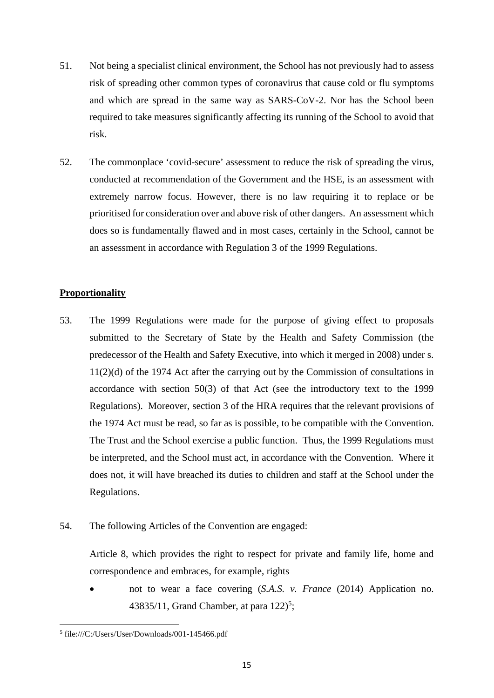- 51. Not being a specialist clinical environment, the School has not previously had to assess risk of spreading other common types of coronavirus that cause cold or flu symptoms risk of spreading other common types of coronavirus that cause cold or flu symptoms and which are spread in the same way as SARS-CoV-2. Nor has the School been and which are spread in the same way as SARS-CoV-2. Nor has the School been required to take measures significantly affecting its running of the School to avoid that required to take measures significantly affecting its running of the School to avoid that risk. risk.
- 52. The commonplace `covid-secure' assessment to reduce the risk of spreading the virus, 52. The commonplace 'covid-secure' assessment to reduce the risk of spreading the virus, conducted at recommendation of the Government and the HSE, is an assessment with conducted at recommendation of the Government and the HSE, is an assessment with extremely narrow focus. However, there is no law requiring it to replace or be extremely narrow focus. However, there is no law requiring it to replace or be prioritised for consideration over and above risk of other dangers. An assessment which prioritised for consideration over and above risk of other dangers. An assessment which does so is fundamentally flawed and in most cases, certainly in the School, cannot be does so is fundamentally flawed and in most cases, certainly in the School, cannot be an assessment in accordance with Regulation 3 of the 1999 Regulations. an assessment in accordance with Regulation 3 of the 1999 Regulations.

# **Proportionality Proportionality**

- 53. The 1999 Regulations were made for the purpose of giving effect to proposals 53. The 1999 Regulations were made for the purpose of giving effect to proposals submitted to the Secretary of State by the Health and Safety Commission (the submitted to the Secretary of State by the Health and Safety Commission (the predecessor of the Health and Safety Executive, into which it merged in 2008) under s. predecessor of the Health and Safety Executive, into which it merged in 2008) under s. 11(2)(d) of the 1974 Act after the carrying out by the Commission of consultations in 11(2)(d) of the 1974 Act after the carrying out by the Commission of consultations in accordance with section 50(3) of that Act (see the introductory text to the 1999 accordance with section 50(3) of that Act (see the introductory text to the 1999 Regulations). Moreover, section 3 of the HRA requires that the relevant provisions of Regulations). Moreover, section 3 of the HRA requires that the relevant provisions of the 1974 Act must be read, so far as is possible, to be compatible with the Convention. the 1974 Act must be read, so far as is possible, to be compatible with the Convention. The Trust and the School exercise a public function. Thus, the 1999 Regulations must The Trust and the School exercise a public function. Thus, the 1999 Regulations must be interpreted, and the School must act, in accordance with the Convention. Where it be interpreted, and the School must act, in accordance with the Convention. Where it does not, it will have breached its duties to children and staff at the School under the does not, it will have breached its duties to children and staff at the School under the Regulations. Regulations.
- 54. The following Articles of the Convention are engaged: 54. The following Articles of the Convention are engaged:

Article 8, which provides the right to respect for private and family life, home and Article 8, which provides the right to respect for private and family life, home and correspondence and embraces, for example, rights correspondence and embraces, for example, rights

• not to wear a face covering *(S.A.S. v. France (2014)* Application no. 43835/11, Grand Chamber, at para  $122$ <sup>5</sup>;

<sup>5</sup>file:///C:/Users/User/Downloads/001-145466.pdf 5 file:///C:/Users/User/Downloads/001-145466.pdf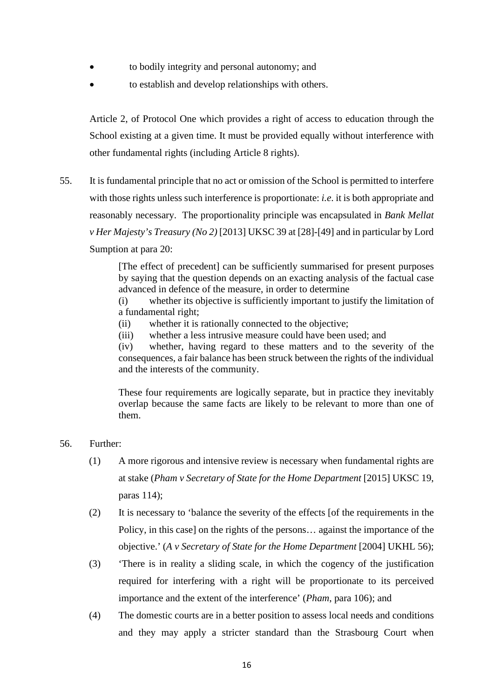- to bodily integrity and personal autonomy; and to bodily integrity and personal autonomy; and
- to establish and develop relationships with others. to establish and develop relationships with others.

Article 2, of Protocol One which provides a right of access to education through the Article 2, of Protocol One which provides a right of access to education through the School existing at a given time. It must be provided equally without interference with School existing at a given time. It must be provided equally without interference with other fundamental rights (including Article 8 rights). other fundamental rights (including Article 8 rights).

55. It is fundamental principle that no act or omission of the School is permitted to interfere with those rights unless such interference is proportionate: *i.e.* it is both appropriate and with those rights unless such interference is proportionate: *i.e*. it is both appropriate and reasonably necessary. The proportionality principle was encapsulated in *Bank Mellat*  reasonably necessary. The proportionality principle was encapsulated in *Bank Mellat v Her Majesty's Treasury (No 2)* [2013] UKSC 39 at [28]-[49] and in particular by Lord *v Her Majesty's Treasury (No 2)* [2013] UKSC 39 at [28]-[49] and in particular by Lord Sumption at para 20: Sumption at para 20:

> [The effect of precedent] can be sufficiently summarised for present purposes [The effect of precedent] can be sufficiently summarised for present purposes by saying that the question depends on an exacting analysis of the factual case by saying that the question depends on an exacting analysis of the factual case advanced in defence of the measure, in order to determine advanced in defence of the measure, in order to determine

(i) whether its objective is sufficiently important to justify the limitation of (i) whether its objective is sufficiently important to justify the limitation of a fundamental right; a fundamental right;

- (ii) whether it is rationally connected to the objective; (ii) whether it is rationally connected to the objective;
- (iii) whether a less intrusive measure could have been used; and (iii) whether a less intrusive measure could have been used; and

(iv) whether, having regard to these matters and to the severity of the (iv) whether, having regard to these matters and to the severity of the consequences, a fair balance has been struck between the rights of the individual consequences, a fair balance has been struck between the rights of the individual and the interests of the community and the interests of the community.

These four requirements are logically separate, but in practice they inevitably These four requirements are logically separate, but in practice they inevitably overlap because the same facts are likely to be relevant to more than one of them. them.

# 56. Further: 56. Further:

- (1) A more rigorous and intensive review is necessary when fundamental rights are (1) A more rigorous and intensive review is necessary when fundamental rights are at stake *(Pham v Secretary of State for the Home Department* [2015] UKSC 19, at stake (*Pham v Secretary of State for the Home Department* [2015] UKSC 19, paras 114); paras 114);
- (2) It is necessary to 'balance the severity of the effects [of the requirements in the (2) It is necessary to 'balance the severity of the effects [of the requirements in the Policy, in this case] on the rights of the persons... against the importance of the Policy, in this case] on the rights of the persons… against the importance of the objective.' *(A v Secretary of State for the Home Department* [2004] UKHL 56); objective.' (*A v Secretary of State for the Home Department* [2004] UKHL 56);
- (3) 'There is in reality a sliding scale, in which the cogency of the justification (3) 'There is in reality a sliding scale, in which the cogency of the justification required for interfering with a right will be proportionate to its perceived importance and the extent of the interference' *(Pham,* para 106); and importance and the extent of the interference' (*Pham*, para 106); and
- (4) The domestic courts are in a better position to assess local needs and conditions (4) The domestic courts are in a better position to assess local needs and conditions and they may apply a stricter standard than the Strasbourg Court when and they may apply a stricter standard than the Strasbourg Court when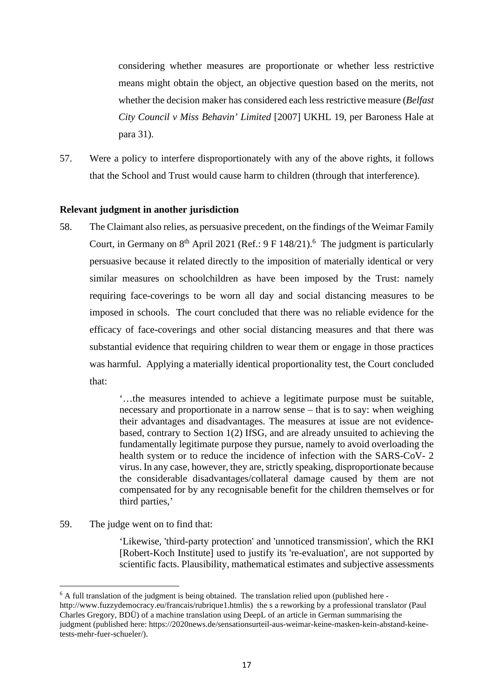considering whether measures are proportionate or whether less restrictive considering whether measures are proportionate or whether less restrictive means might obtain the object, an objective question based on the merits, not means might obtain the object, an objective question based on the merits, not whether the decision maker has considered each less restrictive measure *(Belfast*  whether the decision maker has considered each less restrictive measure (*Belfast City Council v Miss Behavin' Limited* [2007] UKHL 19, per Baroness Hale at *City Council v Miss Behavin' Limited* [2007] UKHL 19, per Baroness Hale at para 31). para 31).

57. Were a policy to interfere disproportionately with any of the above rights, it follows 57. Were a policy to interfere disproportionately with any of the above rights, it follows that the School and Trust would cause harm to children (through that interference). that the School and Trust would cause harm to children (through that interference).

# **Relevant judgment in another jurisdiction Relevant judgment in another jurisdiction**

58. The Claimant also relies, as persuasive precedent, on the findings of the Weimar Family 58. The Claimant also relies, as persuasive precedent, on the findings of the Weimar Family Court, in Germany on  $8<sup>th</sup>$  April 2021 (Ref.: 9 F 148/21).<sup>6</sup> The judgment is particularly persuasive because it related directly to the imposition of materially identical or very persuasive because it related directly to the imposition of materially identical or very similar measures on schoolchildren as have been imposed by the Trust: namely similar measures on schoolchildren as have been imposed by the Trust: namely requiring face-coverings to be worn all day and social distancing measures to be requiring face-coverings to be worn all day and social distancing measures to be imposed in schools. The court concluded that there was no reliable evidence for the imposed in schools. The court concluded that there was no reliable evidence for the efficacy of face-coverings and other social distancing measures and that there was efficacy of face-coverings and other social distancing measures and that there was substantial evidence that requiring children to wear them or engage in those practices substantial evidence that requiring children to wear them or engage in those practices was harmful. Applying a materially identical proportionality test, the Court concluded was harmful. Applying a materially identical proportionality test, the Court concluded that: that:

> `...the measures intended to achieve a legitimate purpose must be suitable, '…the measures intended to achieve a legitimate purpose must be suitable, necessary and proportionate in a narrow sense — that is to say: when weighing necessary and proportionate in a narrow sense – that is to say: when weighing their advantages and disadvantages. The measures at issue are not evidence-their advantages and disadvantages. The measures at issue are not evidencebased, contrary to Section 1(2) IfSG, and are already unsuited to achieving the based, contrary to Section 1(2) IfSG, and are already unsuited to achieving the fundamentally legitimate purpose they pursue, namely to avoid overloading the fundamentally legitimate purpose they pursue, namely to avoid overloading the health system or to reduce the incidence of infection with the SARS-CoV- 2 health system or to reduce the incidence of infection with the SARS-CoV- 2 virus. In any case, however, they are, strictly speaking, disproportionate because virus. In any case, however, they are, strictly speaking, disproportionate because the considerable disadvantages/collateral damage caused by them are not compensated for by any recognisable benefit for the children themselves or for compensated for by any recognisable benefit for the children themselves or for third parties,' third parties,'

# 59. The judge went on to find that: 59. The judge went on to find that:

`Likewise, 'third-party protection' and 'unnoticed transmission', which the RKI 'Likewise, 'third-party protection' and 'unnoticed transmission', which the RKI [Robert-Koch Institute] used to justify its 're-evaluation', are not supported by [Robert-Koch Institute] used to justify its 're-evaluation', are not supported by scientific facts. Plausibility, mathematical estimates and subjective assessments scientific facts. Plausibility, mathematical estimates and subjective assessments

 $6A$  full translation of the judgment is being obtained. The translation relied upon (published here - $6$  A full translation of the judgment is being obtained. The translation relied upon (published here -<br>http://www.fuzzydemocracy.eu/francais/rubrique1.htmlis) the s a reworking by a professional translator (Paul Charles Gregory, BDU) of a machine translation using DeepL of an article in German summarising the Charles Gregory, BDÜ) of a machine translation using DeepL of an article in German summarising the judgment (published here: https://2020news.de/sensationsurteil-aus-weimar-keine-masken-kein-abstand-keine-judgment (published here: https://2020news.de/sensationsurteil-aus-weimar-keine-masken-kein-abstand-keinetests-mehr-fuer-schueler/). tests-mehr-fuer-schueler/).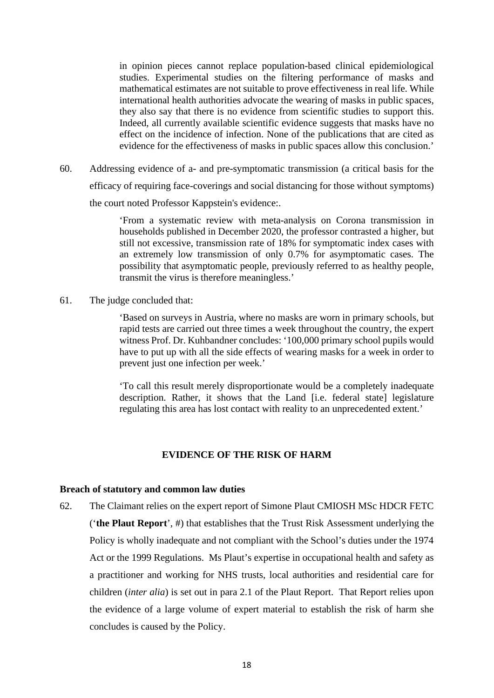in opinion pieces cannot replace population-based clinical epidemiological in opinion pieces cannot replace population-based clinical epidemiological studies. Experimental studies on the filtering performance of masks and studies. Experimental studies on the filtering performance of masks and mathematical estimates are not suitable to prove effectiveness in real life. While mathematical estimates are not suitable to prove effectiveness in real life. While international health authorities advocate the wearing of masks in public spaces, international health authorities advocate the wearing of masks in public spaces, they also say that there is no evidence from scientific studies to support this. they also say that there is no evidence from scientific studies to support this. Indeed, all currently available scientific evidence suggests that masks have no Indeed, all currently available scientific evidence suggests that masks have no effect on the incidence of infection. None of the publications that are cited as effect on the incidence of infection. None of the publications that are cited as evidence for the effectiveness of masks in public spaces allow this conclusion.'

60. Addressing evidence of a- and pre-symptomatic transmission (a critical basis for the 60. Addressing evidence of a- and pre-symptomatic transmission (a critical basis for the efficacy of requiring face-coverings and social distancing for those without symptoms) efficacy of requiring face-coverings and social distancing for those without symptoms) the court noted Professor Kappstein's evidence:. the court noted Professor Kappstein's evidence:.

> `From a systematic review with meta-analysis on Corona transmission in 'From a systematic review with meta-analysis on Corona transmission in households published in December 2020, the professor contrasted a higher, but households published in December 2020, the professor contrasted a higher, but still not excessive, transmission rate of 18% for symptomatic index cases with still not excessive, transmission rate of 18% for symptomatic index cases with an extremely low transmission of only 0.7% for asymptomatic cases. The an extremely low transmission of only 0.7% for asymptomatic cases. The possibility that asymptomatic people, previously referred to as healthy people, possibility that asymptomatic people, previously referred to as healthy people, transmit the virus is therefore meaningless.' transmit the virus is therefore meaningless.'

61. The judge concluded that: 61. The judge concluded that:

`Based on surveys in Austria, where no masks are worn in primary schools, but 'Based on surveys in Austria, where no masks are worn in primary schools, but rapid tests are carried out three times a week throughout the country, the expert witness Prof. Dr. Kuhbandner concludes: '100,000 primary school pupils would witness Prof. Dr. Kuhbandner concludes: '100,000 primary school pupils would have to put up with all the side effects of wearing masks for a week in order to have to put up with all the side effects of wearing masks for a week in order to prevent just one infection per week.' prevent just one infection per week.'

`To call this result merely disproportionate would be a completely inadequate 'To call this result merely disproportionate would be a completely inadequate description. Rather, it shows that the Land [i.e. federal state] legislature description. Rather, it shows that the Land [i.e. federal state] legislature regulating this area has lost contact with reality to an unprecedented extent.'

## **EVIDENCE OF THE RISK OF HARM EVIDENCE OF THE RISK OF HARM**

## **Breach of statutory and common law duties Breach of statutory and common law duties**

62. The Claimant relies on the expert report of Simone Plaut CMIOSH MSc HDCR FETC 62. The Claimant relies on the expert report of Simone Plaut CMIOSH MSc HDCR FETC **(`the Plaut Report',** #) that establishes that the Trust Risk Assessment underlying the ('**the Plaut Report**', #) that establishes that the Trust Risk Assessment underlying the Policy is wholly inadequate and not compliant with the School's duties under the 1974 Policy is wholly inadequate and not compliant with the School's duties under the 1974 Act or the 1999 Regulations. Ms Plaut's expertise in occupational health and safety as Act or the 1999 Regulations. Ms Plaut's expertise in occupational health and safety as a practitioner and working for NHS trusts, local authorities and residential care for a practitioner and working for NHS trusts, local authorities and residential care for children *(inter alia)* is set out in para 2.1 of the Plaut Report. That Report relies upon children (*inter alia*) is set out in para 2.1 of the Plaut Report. That Report relies upon the evidence of a large volume of expert material to establish the risk of harm she the evidence of a large volume of expert material to establish the risk of harm she concludes is caused by the Policy. concludes is caused by the Policy.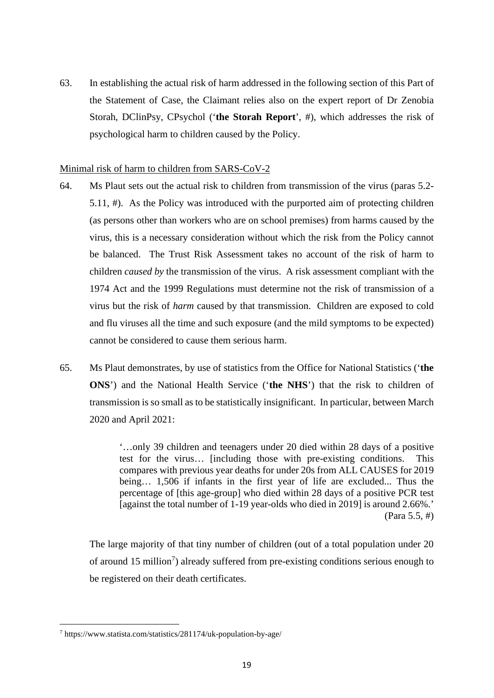63. In establishing the actual risk of harm addressed in the following section of this Part of 63. In establishing the actual risk of harm addressed in the following section of this Part of the Statement of Case, the Claimant relies also on the expert report of Dr Zenobia the Statement of Case, the Claimant relies also on the expert report of Dr Zenobia Storah, DClinPsy, CPsychol **(`the Storah Report',** #), which addresses the risk of Storah, DClinPsy, CPsychol ('**the Storah Report**', #), which addresses the risk of psychological harm to children caused by the Policy. psychological harm to children caused by the Policy.

# Minimal risk of harm to children from SARS-CoV-2 Minimal risk of harm to children from SARS-CoV-2

- 64. Ms Plaut sets out the actual risk to children from transmission of the virus (paras 5.2- 64. Ms Plaut sets out the actual risk to children from transmission of the virus (paras 5.2-<br>5.11, #). As the Policy was introduced with the purported aim of protecting children (as persons other than workers who are on school premises) from harms caused by the (as persons other than workers who are on school premises) from harms caused by the virus, this is a necessary consideration without which the risk from the Policy cannot virus, this is a necessary consideration without which the risk from the Policy cannot be balanced. The Trust Risk Assessment takes no account of the risk of harm to be balanced. The Trust Risk Assessment takes no account of the risk of harm to children *caused by* the transmission of the virus. A risk assessment compliant with the 1974 Act and the 1999 Regulations must determine not the risk of transmission of a 1974 Act and the 1999 Regulations must determine not the risk of transmission of a virus but the risk of *harm* caused by that transmission. Children are exposed to cold virus but the risk of *harm* caused by that transmission. Children are exposed to cold and flu viruses all the time and such exposure (and the mild symptoms to be expected) and flu viruses all the time and such exposure (and the mild symptoms to be expected) cannot be considered to cause them serious harm. cannot be considered to cause them serious harm.
- 65. Ms Plaut demonstrates, by use of statistics from the Office for National Statistics **(`the**  65. Ms Plaut demonstrates, by use of statistics from the Office for National Statistics ('**the ONS')** and the National Health Service **(`the NHS')** that the risk to children of **ONS**') and the National Health Service ('**the NHS**') that the risk to children of transmission is so small as to be statistically insignificant. In particular, between March transmission is so small as to be statistically insignificant. In particular, between March 2020 and April 2021: 2020 and April 2021:

`...only 39 children and teenagers under 20 died within 28 days of a positive '…only 39 children and teenagers under 20 died within 28 days of a positive test for the virus... [including those with pre-existing conditions. This test for the virus… [including those with pre-existing conditions. This compares with previous year deaths for under 20s from ALL CAUSES for 2019 compares with previous year deaths for under 20s from ALL CAUSES for 2019 being... 1,506 if infants in the first year of life are excluded... Thus the being… 1,506 if infants in the first year of life are excluded... Thus the percentage of [this age-group] who died within 28 days of a positive PCR test percentage of [this age-group] who died within 28 days of a positive PCR test [against the total number of 1-19 year-olds who died in 2019] is around 2.66%.' [against the total number of 1-19 year-olds who died in 2019] is around 2.66%.' (Para 5.5, #) (Para 5.5, #)

The large majority of that tiny number of children (out of a total population under 20 The large majority of that tiny number of children (out of a total population under 20 of around 15 million<sup>7</sup>) already suffered from pre-existing conditions serious enough to be registered on their death certificates. be registered on their death certificates.

https://www.statista.com/statistics/28 1174/uk-population-by-age/ <sup>7</sup> https://www.statista.com/statistics/281174/uk-population-by-age/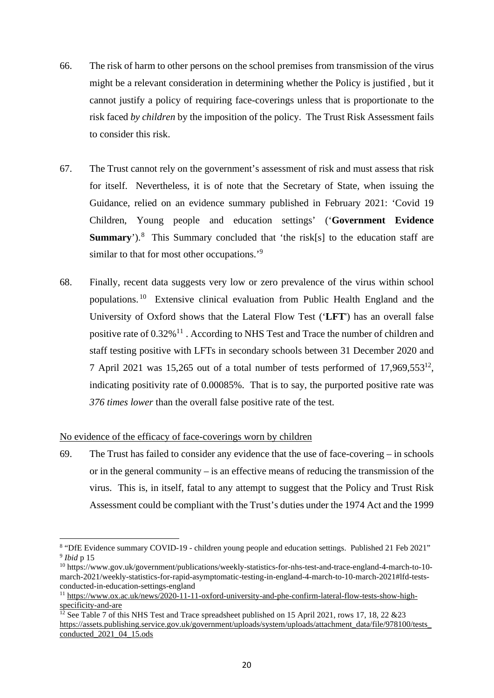- 66. The risk of harm to other persons on the school premises from transmission of the virus 66. The risk of harm to other persons on the school premises from transmission of the virus might be a relevant consideration in determining whether the Policy is justified , but it might be a relevant consideration in determining whether the Policy is justified , but it cannot justify a policy of requiring face-coverings unless that is proportionate to the cannot justify a policy of requiring face-coverings unless that is proportionate to the risk faced *by children* by the imposition of the policy. The Trust Risk Assessment fails risk faced *by children* by the imposition of the policy. The Trust Risk Assessment fails to consider this risk. to consider this risk.
- 67. The Trust cannot rely on the government's assessment of risk and must assess that risk 67. The Trust cannot rely on the government's assessment of risk and must assess that risk for itself. Nevertheless, it is of note that the Secretary of State, when issuing the for itself. Nevertheless, it is of note that the Secretary of State, when issuing the Guidance, relied on an evidence summary published in February 2021: `Covid 19 Guidance, relied on an evidence summary published in February 2021: 'Covid 19 Children, Young people and education settings' **(`Government Evidence**  Children, Young people and education settings' ('**Government Evidence Summary**').<sup>8</sup> This Summary concluded that 'the risk[s] to the education staff are similar to that for most other occupations.'<sup>9</sup>
- 68. Finally, recent data suggests very low or zero prevalence of the virus within school 68. Finally, recent data suggests very low or zero prevalence of the virus within school populations.<sup>10</sup> Extensive clinical evaluation from Public Health England and the University of Oxford shows that the Lateral Flow Test **(`LFT')** has an overall false University of Oxford shows that the Lateral Flow Test ('**LFT**') has an overall false positive rate of 0.32%<sup>11</sup>. According to NHS Test and Trace the number of children and staff testing positive with LFTs in secondary schools between 31 December 2020 and 7 April 2021 was 15,265 out of a total number of tests performed of 17,969,55312, 7 April 2021 was 15,265 out of a total number of tests performed of 17,969,553<sup>12</sup> , indicating positivity rate of 0.00085%. That is to say, the purported positive rate was indicating positivity rate of 0.00085%. That is to say, the purported positive rate was *376 times lower* than the overall false positive rate of the test. *376 times lower* than the overall false positive rate of the test.

# No evidence of the efficacy of face-coverings worn by children No evidence of the efficacy of face-coverings worn by children

69. The Trust has failed to consider any evidence that the use of face-covering — in schools 69. The Trust has failed to consider any evidence that the use of face-covering – in schools or in the general community — is an effective means of reducing the transmission of the or in the general community – is an effective means of reducing the transmission of the virus. This is, in itself, fatal to any attempt to suggest that the Policy and Trust Risk virus. This is, in itself, fatal to any attempt to suggest that the Policy and Trust Risk Assessment could be compliant with the Trust's duties under the 1974 Act and the 1999 Assessment could be compliant with the Trust's duties under the 1974 Act and the 1999

<sup>8</sup>"DfE Evidence summary COVID-19 - children young people and education settings. Published 21 Feb 2021" 8 "DfE Evidence summary COVID-19 - children young people and education settings. Published 21 Feb 2021" *<sup>9</sup>Mid p* 15 9 *Ibid* p 15

<sup>1°</sup>https://www.gov.uk/government/publications/weekly-statistics-for-nhs-test-and-trace-england-4-march-to-10- <sup>10</sup> https://www.gov.uk/government/publications/weekly-statistics-for-nhs-test-and-trace-england-4-march-to-10 march-2021/weekly-statistics-for-rapid-asymptomatic-testing-in-england-4-march-to-10-march-2021#1fd-tests-march-2021/weekly-statistics-for-rapid-asymptomatic-testing-in-england-4-march-to-10-march-2021#lfd-testsconducted-in-education-settings-england conducted-in-education-settings-england

<sup>&</sup>lt;sup>11</sup> https://www.ox.ac.uk/news/2020-11-11-oxford-university-and-phe-confirm-lateral-flow-tests-show-highspecificity-and-are specificity-and-are

<sup>&</sup>lt;sup>12</sup> See Table 7 of this NHS Test and Trace spreadsheet published on 15 April 2021, rows 17, 18, 22 &23 https://assets.publishing.service.gov.uk/government/uploads/system/uploads/attachment\_data/file/978100/tests\_ conducted 2021 04 15.ods conducted\_2021\_04\_15.ods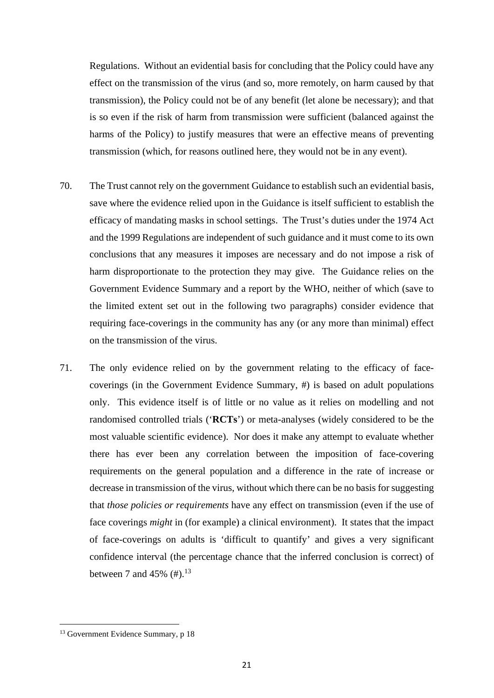Regulations. Without an evidential basis for concluding that the Policy could have any Regulations. Without an evidential basis for concluding that the Policy could have any effect on the transmission of the virus (and so, more remotely, on harm caused by that effect on the transmission of the virus (and so, more remotely, on harm caused by that transmission), the Policy could not be of any benefit (let alone be necessary); and that transmission), the Policy could not be of any benefit (let alone be necessary); and that is so even if the risk of harm from transmission were sufficient (balanced against the is so even if the risk of harm from transmission were sufficient (balanced against the harms of the Policy) to justify measures that were an effective means of preventing harms of the Policy) to justify measures that were an effective means of preventing transmission (which, for reasons outlined here, they would not be in any event). transmission (which, for reasons outlined here, they would not be in any event).

- 70. The Trust cannot rely on the government Guidance to establish such an evidential basis, 70. The Trust cannot rely on the government Guidance to establish such an evidential basis, save where the evidence relied upon in the Guidance is itself sufficient to establish the save where the evidence relied upon in the Guidance is itself sufficient to establish the efficacy of mandating masks in school settings. The Trust's duties under the 1974 Act efficacy of mandating masks in school settings. The Trust's duties under the 1974 Act and the 1999 Regulations are independent of such guidance and it must come to its own and the 1999 Regulations are independent of such guidance and it must come to its own conclusions that any measures it imposes are necessary and do not impose a risk of conclusions that any measures it imposes are necessary and do not impose a risk of harm disproportionate to the protection they may give. The Guidance relies on the harm disproportionate to the protection they may give. The Guidance relies on the Government Evidence Summary and a report by the WHO, neither of which (save to Government Evidence Summary and a report by the WHO, neither of which (save to the limited extent set out in the following two paragraphs) consider evidence that the limited extent set out in the following two paragraphs) consider evidence that requiring face-coverings in the community has any (or any more than minimal) effect on the transmission of the virus. on the transmission of the virus.
- 71. The only evidence relied on by the government relating to the efficacy of face-71. The only evidence relied on by the government relating to the efficacy of facecoverings (in the Government Evidence Summary, #) is based on adult populations coverings (in the Government Evidence Summary, #) is based on adult populations only. This evidence itself is of little or no value as it relies on modelling and not randomised controlled trials ('RCTs') or meta-analyses (widely considered to be the most valuable scientific evidence). Nor does it make any attempt to evaluate whether most valuable scientific evidence). Nor does it make any attempt to evaluate whether there has ever been any correlation between the imposition of face-covering there has ever been any correlation between the imposition of face-covering requirements on the general population and a difference in the rate of increase or requirements on the general population and a difference in the rate of increase or decrease in transmission of the virus, without which there can be no basis for suggesting decrease in transmission of the virus, without which there can be no basis for suggesting that *those policies or requirements* have any effect on transmission (even if the use of that *those policies or requirements* have any effect on transmission (even if the use of face coverings *might* in (for example) a clinical environment). It states that the impact face coverings *might* in (for example) a clinical environment). It states that the impact of face-coverings on adults is 'difficult to quantify' and gives a very significant of face-coverings on adults is 'difficult to quantify' and gives a very significant confidence interval (the percentage chance that the inferred conclusion is correct) of between 7 and 45%  $(\#).^{13}$

<sup>&</sup>lt;sup>13</sup> Government Evidence Summary, p 18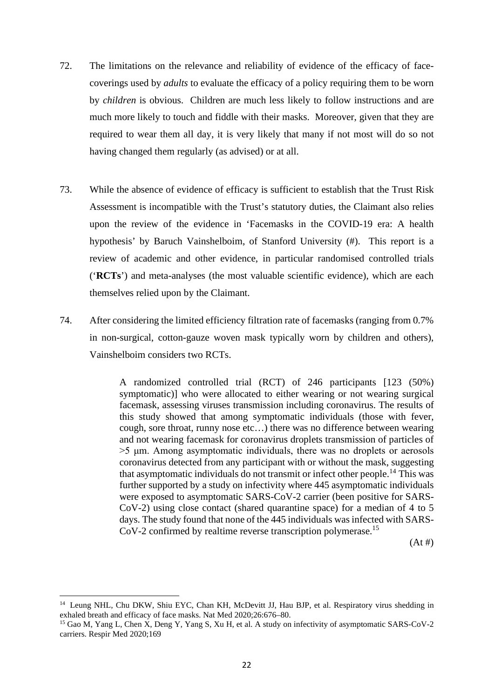- 72. The limitations on the relevance and reliability of evidence of the efficacy of face-72. The limitations on the relevance and reliability of evidence of the efficacy of facecoverings used by *adults* to evaluate the efficacy of a policy requiring them to be worn coverings used by *adults* to evaluate the efficacy of a policy requiring them to be worn by *children* is obvious. Children are much less likely to follow instructions and are by *children* is obvious. Children are much less likely to follow instructions and are much more likely to touch and fiddle with their masks. Moreover, given that they are much more likely to touch and fiddle with their masks. Moreover, given that they are required to wear them all day, it is very likely that many if not most will do so not required to wear them all day, it is very likely that many if not most will do so not having changed them regularly (as advised) or at all. having changed them regularly (as advised) or at all.
- 73. While the absence of evidence of efficacy is sufficient to establish that the Trust Risk 73. While the absence of evidence of efficacy is sufficient to establish that the Trust Risk Assessment is incompatible with the Trust's statutory duties, the Claimant also relies Assessment is incompatible with the Trust's statutory duties, the Claimant also relies upon the review of the evidence in Tacemasks in the COVID-19 era: A health upon the review of the evidence in 'Facemasks in the COVID-19 era: A health hypothesis' by Baruch Vainshelboim, of Stanford University (#). This report is a hypothesis' by Baruch Vainshelboim, of Stanford University (#). This report is a review of academic and other evidence, in particular randomised controlled trials review of academic and other evidence, in particular randomised controlled trials (`RCTs') and meta-analyses (the most valuable scientific evidence), which are each ('**RCTs**') and meta-analyses (the most valuable scientific evidence), which are each themselves relied upon by the Claimant. themselves relied upon by the Claimant.
- 74. After considering the limited efficiency filtration rate of facemasks (ranging from 0.7% 74. After considering the limited efficiency filtration rate of facemasks (ranging from 0.7% in non-surgical, cotton-gauze woven mask typically worn by children and others), in non-surgical, cotton-gauze woven mask typically worn by children and others), Vainshelboim considers two RCTs. Vainshelboim considers two RCTs.

A randomized controlled trial (RCT) of 246 participants [123 (50%) A randomized controlled trial (RCT) of 246 participants [123 (50%) symptomatic)] who were allocated to either wearing or not wearing surgical symptomatic)] who were allocated to either wearing or not wearing surgical facemask, assessing viruses transmission including coronavirus. The results of facemask, assessing viruses transmission including coronavirus. The results of this study showed that among symptomatic individuals (those with fever, cough, sore throat, runny nose etc...) there was no difference between wearing cough, sore throat, runny nose etc…) there was no difference between wearing and not wearing facemask for coronavirus droplets transmission of particles of and not wearing facemask for coronavirus droplets transmission of particles of >5 ptm. Among asymptomatic individuals, there was no droplets or aerosols >5 μm. Among asymptomatic individuals, there was no droplets or aerosols coronavirus detected from any participant with or without the mask, suggesting coronavirus detected from any participant with or without the mask, suggesting that asymptomatic individuals do not transmit or infect other people.<sup>14</sup> This was further supported by a study on infectivity where 445 asymptomatic individuals further supported by a study on infectivity where 445 asymptomatic individuals were exposed to asymptomatic SARS-CoV-2 carrier (been positive for SARS-were exposed to asymptomatic SARS-CoV-2 carrier (been positive for SARS-CoV-2) using close contact (shared quarantine space) for a median of 4 to 5 CoV-2) using close contact (shared quarantine space) for a median of 4 to 5 days. The study found that none of the 445 individuals was infected with SARS-days. The study found that none of the 445 individuals was infected with SARS-CoV-2 confirmed by realtime reverse transcription polymerase.15 CoV-2 confirmed by realtime reverse transcription polymerase.<sup>15</sup>

 $(At *#*)$ 

<sup>&</sup>lt;sup>14</sup> Leung NHL, Chu DKW, Shiu EYC, Chan KH, McDevitt JJ, Hau BJP, et al. Respiratory virus shedding in exhaled breath and efficacy of face masks. Nat Med 2020;26:676-80. exhaled breath and efficacy of face masks. Nat Med 2020;26:676–80.

<sup>15</sup>Gao M, Yang L, Chen X, Deng Y, Yang S, Xu H, et al. A study on infectivity of asymptomatic SARS-CoV-2 <sup>15</sup> Gao M, Yang L, Chen X, Deng Y, Yang S, Xu H, et al. A study on infectivity of asymptomatic SARS-CoV-2 carriers. Respir Med 2020;169 carriers. Respir Med 2020;169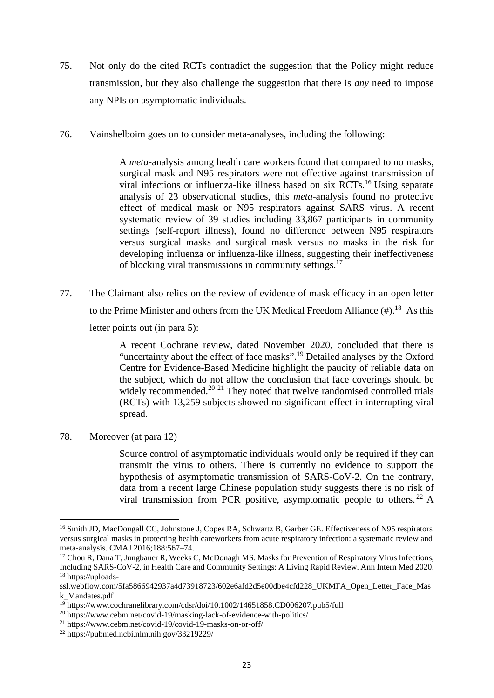- 75. Not only do the cited RCTs contradict the suggestion that the Policy might reduce 75. Not only do the cited RCTs contradict the suggestion that the Policy might reduce transmission, but they also challenge the suggestion that there is *any* need to impose transmission, but they also challenge the suggestion that there is *any* need to impose any NPIs on asymptomatic individuals. any NPIs on asymptomatic individuals.
- 76. Vainshelboim goes on to consider meta-analyses, including the following:

A meta-analysis among health care workers found that compared to no masks, A *meta*-analysis among health care workers found that compared to no masks, surgical mask and N95 respirators were not effective against transmission of surgical mask and N95 respirators were not effective against transmission of viral infections or influenza-like illness based on six RCTs.<sup>16</sup> Using separate analysis of 23 observational studies, this meta-analysis found no protective analysis of 23 observational studies, this *meta*-analysis found no protective effect of medical mask or N95 respirators against SARS virus. A recent effect of medical mask or N95 respirators against SARS virus. A recent systematic review of 39 studies including 33,867 participants in community systematic review of 39 studies including 33,867 participants in community settings (self-report illness), found no difference between N95 respirators settings (self-report illness), found no difference between N95 respirators versus surgical masks and surgical mask versus no masks in the risk for versus surgical masks and surgical mask versus no masks in the risk for developing influenza or influenza-like illness, suggesting their ineffectiveness developing influenza or influenza-like illness, suggesting their ineffectiveness of blocking viral transmissions in community settings.<sup>17</sup>

77. The Claimant also relies on the review of evidence of mask efficacy in an open letter 77. The Claimant also relies on the review of evidence of mask efficacy in an open letter to the Prime Minister and others from the UK Medical Freedom Alliance  $(\#).^{18}$  As this letter points out (in para 5): letter points out (in para 5):

> A recent Cochrane review, dated November 2020, concluded that there is A recent Cochrane review, dated November 2020, concluded that there is "uncertainty about the effect of face masks".<sup>19</sup> Detailed analyses by the Oxford Centre for Evidence-Based Medicine highlight the paucity of reliable data on Centre for Evidence-Based Medicine highlight the paucity of reliable data on the subject, which do not allow the conclusion that face coverings should be the subject, which do not allow the conclusion that face coverings should be widely recommended.<sup>20 21</sup> They noted that twelve randomised controlled trials (RCTs) with 13,259 subjects showed no significant effect in interrupting viral (RCTs) with 13,259 subjects showed no significant effect in interrupting viral spread. spread.

78. Moreover (at para 12) 78. Moreover (at para 12)

Source control of asymptomatic individuals would only be required if they can Source control of asymptomatic individuals would only be required if they can transmit the virus to others. There is currently no evidence to support the transmit the virus to others. There is currently no evidence to support the hypothesis of asymptomatic transmission of SARS-CoV-2. On the contrary, hypothesis of asymptomatic transmission of SARS-CoV-2. On the contrary, data from a recent large Chinese population study suggests there is no risk of data from a recent large Chinese population study suggests there is no risk of viral transmission from PCR positive, asymptomatic people to others.<sup>22</sup> A

<sup>&</sup>lt;sup>16</sup> Smith JD, MacDougall CC, Johnstone J, Copes RA, Schwartz B, Garber GE. Effectiveness of N95 respirators versus surgical masks in protecting health careworkers from acute respiratory infection: a systematic review and meta-analysis. CMAJ 2016;188:567-74. meta-analysis. CMAJ 2016;188:567–74.

<sup>&</sup>lt;sup>17</sup> Chou R, Dana T, Jungbauer R, Weeks C, McDonagh MS. Masks for Prevention of Respiratory Virus Infections, Including SARS-CoV-2, in Health Care and Community Settings: A Living Rapid Review. Ann Intern Med 2020. Including SARS-CoV-2, in Health Care and Community Settings: A Living Rapid Review. Ann Intern Med 2020. 18https://uploads-<sup>18</sup> https://uploads-

ssl.webflow.com/5fa5866942937a4d73918723/602e6afd2d5e00dbe4cfd228\_UKMFA\_Open\_Letter\_Face\_Mas ssl.webflow.com/5fa5866942937a4d73918723/602e6afd2d5e00dbe4cfd228\_UKMFA\_Open\_Letter\_Face\_Mas k\_Mandates.pdf k\_Mandates.pdf

<sup>&</sup>lt;sup>19</sup> https://www.cochranelibrary.com/cdsr/doi/10.1002/14651858.CD006207.pub5/full

<sup>20</sup>https://www.cebm.net/covid-19/masking-lack-of-evidence-with-politics/ <sup>20</sup> https://www.cebm.net/covid-19/masking-lack-of-evidence-with-politics/

<sup>21</sup>https://www.cebm.net/covid-19/covid-19-masks-on-or-off/ <sup>21</sup> https://www.cebm.net/covid-19/covid-19-masks-on-or-off/

<sup>22</sup>https://pubmed.ncbi.nlm.nih.gov/33219229/ <sup>22</sup> https://pubmed.ncbi.nlm.nih.gov/33219229/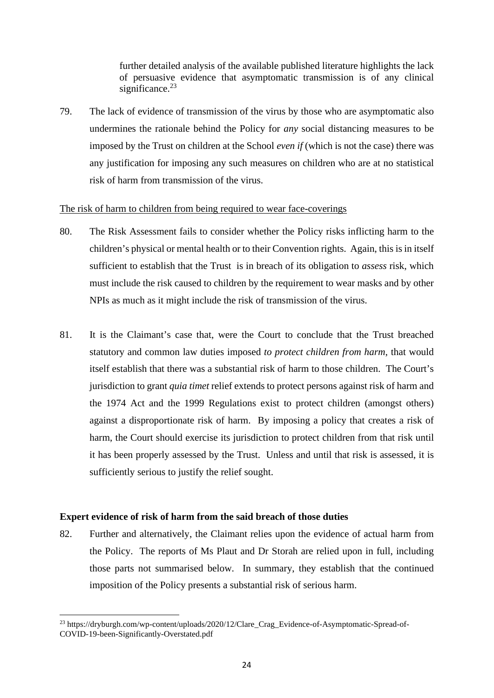further detailed analysis of the available published literature highlights the lack further detailed analysis of the available published literature highlights the lack of persuasive evidence that asymptomatic transmission is of any clinical of persuasive evidence that asymptomatic transmission is of any clinical significance.<sup>23</sup>

79. The lack of evidence of transmission of the virus by those who are asymptomatic also 79. The lack of evidence of transmission of the virus by those who are asymptomatic also undermines the rationale behind the Policy for *any* social distancing measures to be undermines the rationale behind the Policy for *any* social distancing measures to be imposed by the Trust on children at the School *even if* (which is not the case) there was imposed by the Trust on children at the School *even if* (which is not the case) there was any justification for imposing any such measures on children who are at no statistical any justification for imposing any such measures on children who are at no statistical risk of harm from transmission of the virus. risk of harm from transmission of the virus.

# The risk of harm to children from being required to wear face-coverings The risk of harm to children from being required to wear face-coverings

- 80. The Risk Assessment fails to consider whether the Policy risks inflicting harm to the 80. The Risk Assessment fails to consider whether the Policy risks inflicting harm to the children's physical or mental health or to their Convention rights. Again, this is in itself children's physical or mental health or to their Convention rights. Again, this is in itself sufficient to establish that the Trust is in breach of its obligation to *assess* risk, which sufficient to establish that the Trust is in breach of its obligation to *assess* risk, which must include the risk caused to children by the requirement to wear masks and by other must include the risk caused to children by the requirement to wear masks and by other NPIs as much as it might include the risk of transmission of the virus. NPIs as much as it might include the risk of transmission of the virus.
- 81. It is the Claimant's case that, were the Court to conclude that the Trust breached 81. It is the Claimant's case that, were the Court to conclude that the Trust breached statutory and common law duties imposed *to protect children from harm,* that would statutory and common law duties imposed *to protect children from harm*, that would itself establish that there was a substantial risk of harm to those children. The Court's itself establish that there was a substantial risk of harm to those children. The Court's jurisdiction to grant *quia timet* relief extends to protect persons against risk of harm and jurisdiction to grant *quia timet* relief extends to protect persons against risk of harm and the 1974 Act and the 1999 Regulations exist to protect children (amongst others) the 1974 Act and the 1999 Regulations exist to protect children (amongst others) against a disproportionate risk of harm. By imposing a policy that creates a risk of against a disproportionate risk of harm. By imposing a policy that creates a risk of harm, the Court should exercise its jurisdiction to protect children from that risk until harm, the Court should exercise its jurisdiction to protect children from that risk until it has been properly assessed by the Trust. Unless and until that risk is assessed, it is it has been properly assessed by the Trust. Unless and until that risk is assessed, it is sufficiently serious to justify the relief sought. sufficiently serious to justify the relief sought.

# **Expert evidence of risk of harm from the said breach of those duties Expert evidence of risk of harm from the said breach of those duties**

82. Further and alternatively, the Claimant relies upon the evidence of actual harm from 82. Further and alternatively, the Claimant relies upon the evidence of actual harm from the Policy. The reports of Ms Plaut and Dr Storah are relied upon in full, including the Policy. The reports of Ms Plaut and Dr Storah are relied upon in full, including those parts not summarised below. In summary, they establish that the continued those parts not summarised below. In summary, they establish that the continued imposition of the Policy presents a substantial risk of serious harm. imposition of the Policy presents a substantial risk of serious harm.

<sup>&</sup>lt;sup>23</sup> https://dryburgh.com/wp-content/uploads/2020/12/Clare\_Crag\_Evidence-of-Asymptomatic-Spread-of-COVID-19-been-Significantly-Overstated.pdf COVID-19-been-Significantly-Overstated.pdf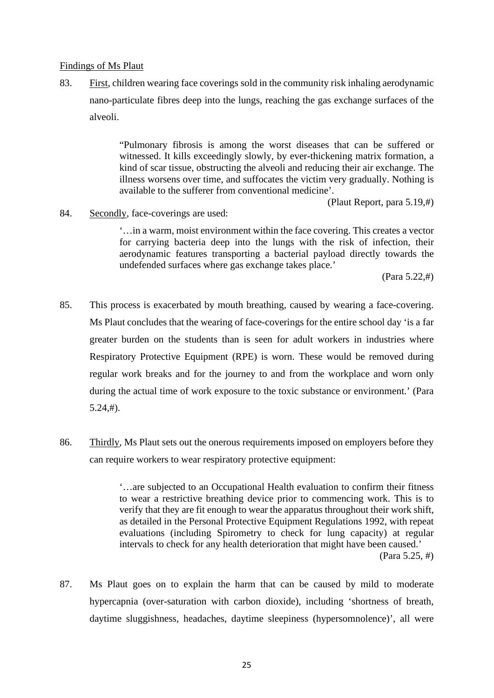# Findings of Ms Plaut

83. First, children wearing face coverings sold in the community risk inhaling aerodynamic nano-particulate fibres deep into the lungs, reaching the gas exchange surfaces of the nano-particulate fibres deep into the lungs, reaching the gas exchange surfaces of the alveoli. alveoli.

> "Pulmonary fibrosis is among the worst diseases that can be suffered or "Pulmonary fibrosis is among the worst diseases that can be suffered or witnessed. It kills exceedingly slowly, by ever-thickening matrix formation, a witnessed. It kills exceedingly slowly, by ever-thickening matrix formation, a kind of scar tissue, obstructing the alveoli and reducing their air exchange. The kind of scar tissue, obstructing the alveoli and reducing their air exchange. The illness worsens over time, and suffocates the victim very gradually. Nothing is illness worsens over time, and suffocates the victim very gradually. Nothing is available to the sufferer from conventional medicine'. available to the sufferer from conventional medicine'.

> > (Plaut Report, para 5.19,#) (Plaut Report, para 5.19,#)

84. Secondly, face-coverings are used:

`...in a warm, moist environment within the face covering. This creates a vector '…in a warm, moist environment within the face covering. This creates a vector for carrying bacteria deep into the lungs with the risk of infection, their aerodynamic features transporting a bacterial payload directly towards the aerodynamic features transporting a bacterial payload directly towards the undefended surfaces where gas exchange takes place.' undefended surfaces where gas exchange takes place.'

(Para 5.22,#) (Para 5.22,#)

- 85. This process is exacerbated by mouth breathing, caused by wearing a face-covering. 85. This process is exacerbated by mouth breathing, caused by wearing a face-covering. Ms Plaut concludes that the wearing of face-coverings for the entire school day 'is a far Ms Plaut concludes that the wearing of face-coverings for the entire school day 'is a far greater burden on the students than is seen for adult workers in industries where greater burden on the students than is seen for adult workers in industries where Respiratory Protective Equipment (RPE) is worn. These would be removed during Respiratory Protective Equipment (RPE) is worn. These would be removed during regular work breaks and for the journey to and from the workplace and worn only regular work breaks and for the journey to and from the workplace and worn only during the actual time of work exposure to the toxic substance or environment.' (Para during the actual time of work exposure to the toxic substance or environment.' (Para 5.24,#). 5.24,#).
- 86. Thirdly, Ms Plaut sets out the onerous requirements imposed on employers before they can require workers to wear respiratory protective equipment:

`...are subjected to an Occupational Health evaluation to confirm their fitness '…are subjected to an Occupational Health evaluation to confirm their fitness to wear a restrictive breathing device prior to commencing work. This is to to wear a restrictive breathing device prior to commencing work. This is to verify that they are fit enough to wear the apparatus throughout their work shift, verify that they are fit enough to wear the apparatus throughout their work shift, as detailed in the Personal Protective Equipment Regulations 1992, with repeat as detailed in the Personal Protective Equipment Regulations 1992, with repeat evaluations (including Spirometry to check for lung capacity) at regular evaluations (including Spirometry to check for lung capacity) at regular intervals to check for any health deterioration that might have been caused.' intervals to check for any health deterioration that might have been caused.' (Para 5.25, #) (Para 5.25, #)

87. Ms Plaut goes on to explain the harm that can be caused by mild to moderate 87. Ms Plaut goes on to explain the harm that can be caused by mild to moderate hypercapnia (over-saturation with carbon dioxide), including 'shortness of breath, hypercapnia (over-saturation with carbon dioxide), including 'shortness of breath, daytime sluggishness, headaches, daytime sleepiness (hypersomnolence)', all were daytime sluggishness, headaches, daytime sleepiness (hypersomnolence)', all were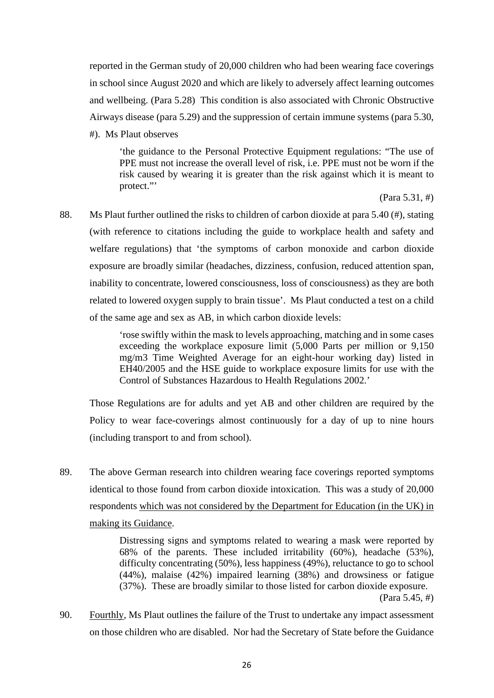reported in the German study of 20,000 children who had been wearing face coverings reported in the German study of 20,000 children who had been wearing face coverings in school since August 2020 and which are likely to adversely affect learning outcomes in school since August 2020 and which are likely to adversely affect learning outcomes and wellbeing. (Para 5.28) This condition is also associated with Chronic Obstructive and wellbeing. (Para 5.28) This condition is also associated with Chronic Obstructive Airways disease (para 5.29) and the suppression of certain immune systems (para 5.30, Airways disease (para 5.29) and the suppression of certain immune systems (para 5.30,

#). Ms Plaut observes #). Ms Plaut observes

'the guidance to the Personal Protective Equipment regulations: "The use of PPE must not increase the overall level of risk, i.e. PPE must not be worn if the PPE must not increase the overall level of risk, i.e. PPE must not be worn if the risk caused by wearing it is greater than the risk against which it is meant to protect."' protect."'

(Para 5.31, #) (Para 5.31, #)

88. Ms Plaut further outlined the risks to children of carbon dioxide at para 5.40 (#), stating (with reference to citations including the guide to workplace health and safety and (with reference to citations including the guide to workplace health and safety and welfare regulations) that 'the symptoms of carbon monoxide and carbon dioxide welfare regulations) that 'the symptoms of carbon monoxide and carbon dioxide exposure are broadly similar (headaches, dizziness, confusion, reduced attention span, exposure are broadly similar (headaches, dizziness, confusion, reduced attention span, inability to concentrate, lowered consciousness, loss of consciousness) as they are both inability to concentrate, lowered consciousness, loss of consciousness) as they are both related to lowered oxygen supply to brain tissue'. Ms Plaut conducted a test on a child of the same age and sex as AB, in which carbon dioxide levels:

> `rose swiftly within the mask to levels approaching, matching and in some cases 'rose swiftly within the mask to levels approaching, matching and in some cases exceeding the workplace exposure limit (5,000 Parts per million or 9,150 exceeding the workplace exposure limit (5,000 Parts per million or 9,150 mg/m3 Time Weighted Average for an eight-hour working day) listed in mg/m3 Time Weighted Average for an eight-hour working day) listed in EH40/2005 and the HSE guide to workplace exposure limits for use with the EH40/2005 and the HSE guide to workplace exposure limits for use with the Control of Substances Hazardous to Health Regulations 2002.' Control of Substances Hazardous to Health Regulations 2002.'

Those Regulations are for adults and yet AB and other children are required by the Those Regulations are for adults and yet AB and other children are required by the Policy to wear face-coverings almost continuously for a day of up to nine hours Policy to wear face-coverings almost continuously for a day of up to nine hours (including transport to and from school). (including transport to and from school).

89. The above German research into children wearing face coverings reported symptoms 89. The above German research into children wearing face coverings reported symptoms identical to those found from carbon dioxide intoxication. This was a study of 20,000 identical to those found from carbon dioxide intoxication. This was a study of 20,000 respondents which was not considered by the Department for Education (in the UK) in making its Guidance. making its Guidance.

> Distressing signs and symptoms related to wearing a mask were reported by Distressing signs and symptoms related to wearing a mask were reported by 68% of the parents. These included irritability (60%), headache (53%), 68% of the parents. These included irritability (60%), headache (53%), difficulty concentrating (50%), less happiness (49%), reluctance to go to school difficulty concentrating (50%), less happiness (49%), reluctance to go to school (44%), malaise (42%) impaired learning (38%) and drowsiness or fatigue (44%), malaise (42%) impaired learning (38%) and drowsiness or fatigue (37%). These are broadly similar to those listed for carbon dioxide exposure. (37%). These are broadly similar to those listed for carbon dioxide exposure. (Para 5.45, #) (Para 5.45, #)

90. Eourthly, Ms Plaut outlines the failure of the Trust to undertake any impact assessment on those children who are disabled. Nor had the Secretary of State before the Guidance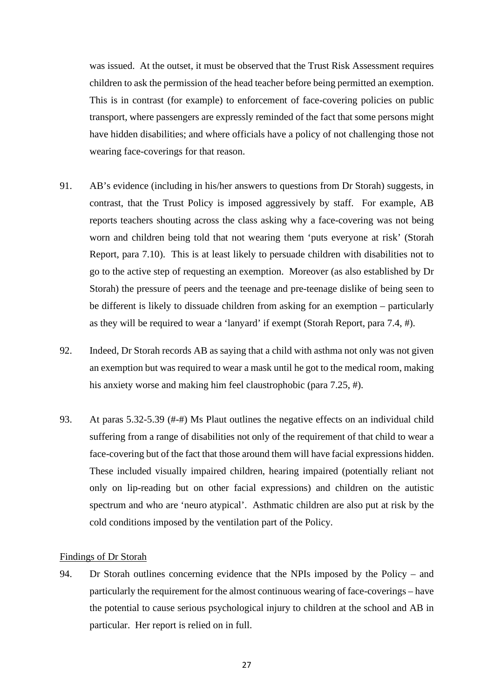was issued. At the outset, it must be observed that the Trust Risk Assessment requires was issued. At the outset, it must be observed that the Trust Risk Assessment requires children to ask the permission of the head teacher before being permitted an exemption. children to ask the permission of the head teacher before being permitted an exemption. This is in contrast (for example) to enforcement of face-covering policies on public This is in contrast (for example) to enforcement of face-covering policies on public transport, where passengers are expressly reminded of the fact that some persons might transport, where passengers are expressly reminded of the fact that some persons might have hidden disabilities; and where officials have a policy of not challenging those not have hidden disabilities; and where officials have a policy of not challenging those not wearing face-coverings for that reason. wearing face-coverings for that reason.

- 91. AB's evidence (including in his/her answers to questions from Dr Storah) suggests, in 91. AB's evidence (including in his/her answers to questions from Dr Storah) suggests, in contrast, that the Trust Policy is imposed aggressively by staff. For example, AB contrast, that the Trust Policy is imposed aggressively by staff. For example, AB reports teachers shouting across the class asking why a face-covering was not being reports teachers shouting across the class asking why a face-covering was not being worn and children being told that not wearing them 'puts everyone at risk' (Storah worn and children being told that not wearing them 'puts everyone at risk' (Storah Report, para 7.10). This is at least likely to persuade children with disabilities not to Report, para 7.10). This is at least likely to persuade children with disabilities not to go to the active step of requesting an exemption. Moreover (as also established by Dr go to the active step of requesting an exemption. Moreover (as also established by Dr Storah) the pressure of peers and the teenage and pre-teenage dislike of being seen to Storah) the pressure of peers and the teenage and pre-teenage dislike of being seen to be different is likely to dissuade children from asking for an exemption — particularly be different is likely to dissuade children from asking for an exemption – particularly as they will be required to wear a 'lanyard' if exempt (Storah Report, para 7.4, #). as they will be required to wear a 'lanyard' if exempt (Storah Report, para 7.4, #).
- 92. Indeed, Dr Storah records AB as saying that a child with asthma not only was not given 92. Indeed, Dr Storah records AB as saying that a child with asthma not only was not given an exemption but was required to wear a mask until he got to the medical room, making an exemption but was required to wear a mask until he got to the medical room, making his anxiety worse and making him feel claustrophobic (para 7.25, #). his anxiety worse and making him feel claustrophobic (para 7.25, #).
- 93. At paras 5.32-5.39 (#-#) Ms Plaut outlines the negative effects on an individual child suffering from a range of disabilities not only of the requirement of that child to wear a suffering from a range of disabilities not only of the requirement of that child to wear a face-covering but of the fact that those around them will have facial expressions hidden. face-covering but of the fact that those around them will have facial expressions hidden. These included visually impaired children, hearing impaired (potentially reliant not These included visually impaired children, hearing impaired (potentially reliant not only on lip-reading but on other facial expressions) and children on the autistic spectrum and who are `neuro atypical'. Asthmatic children are also put at risk by the spectrum and who are 'neuro atypical'. Asthmatic children are also put at risk by the cold conditions imposed by the ventilation part of the Policy. cold conditions imposed by the ventilation part of the Policy.

# Findings of Dr Storah

94. Dr Storah outlines concerning evidence that the NPIs imposed by the Policy — and 94. Dr Storah outlines concerning evidence that the NPIs imposed by the Policy – and particularly the requirement for the almost continuous wearing of face-coverings — have particularly the requirement for the almost continuous wearing of face-coverings – have the potential to cause serious psychological injury to children at the school and AB in the potential to cause serious psychological injury to children at the school and AB in particular. Her report is relied on in full. particular. Her report is relied on in full.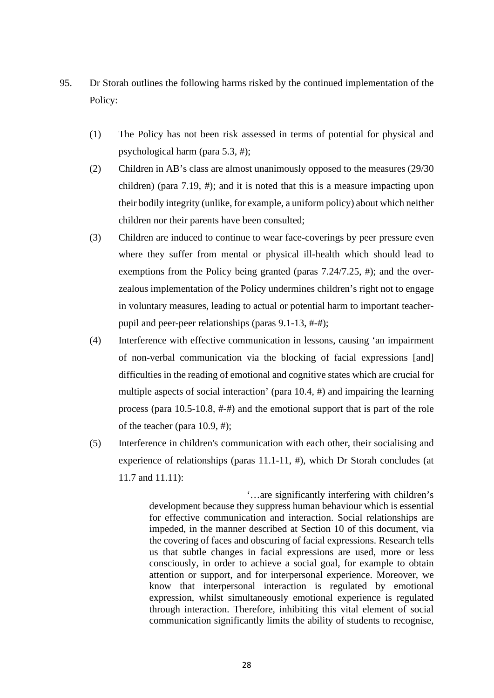- 95. Dr Storah outlines the following harms risked by the continued implementation of the Policy: Policy:
	- (1) The Policy has not been risk assessed in terms of potential for physical and (1) The Policy has not been risk assessed in terms of potential for physical and psychological harm (para 5.3, #); psychological harm (para 5.3, #);
	- (2) Children in AB's class are almost unanimously opposed to the measures (29/30 (2) Children in AB's class are almost unanimously opposed to the measures (29/30 children) (para 7.19, #); and it is noted that this is a measure impacting upon children) (para 7.19, #); and it is noted that this is a measure impacting upon their bodily integrity (unlike, for example, a uniform policy) about which neither their bodily integrity (unlike, for example, a uniform policy) about which neither children nor their parents have been consulted; children nor their parents have been consulted;
	- (3) Children are induced to continue to wear face-coverings by peer pressure even (3) Children are induced to continue to wear face-coverings by peer pressure even where they suffer from mental or physical ill-health which should lead to where they suffer from mental or physical ill-health which should lead to exemptions from the Policy being granted (paras 7.24/7.25, #); and the over-exemptions from the Policy being granted (paras 7.24/7.25, #); and the overzealous implementation of the Policy undermines children's right not to engage zealous implementation of the Policy undermines children's right not to engage in voluntary measures, leading to actual or potential harm to important teacher-in voluntary measures, leading to actual or potential harm to important teacherpupil and peer-peer relationships (paras 9.1-13, *#-#);*  pupil and peer-peer relationships (paras 9.1-13, #-#);
	- (4) Interference with effective communication in lessons, causing 'an impairment (4) Interference with effective communication in lessons, causing 'an impairment of non-verbal communication via the blocking of facial expressions [and] of non-verbal communication via the blocking of facial expressions [and] difficulties in the reading of emotional and cognitive states which are crucial for difficulties in the reading of emotional and cognitive states which are crucial for multiple aspects of social interaction' (para 10.4, #) and impairing the learning multiple aspects of social interaction' (para 10.4, #) and impairing the learning process (para 10.5-10.8, *#-#)* and the emotional support that is part of the role process (para 10.5-10.8, #-#) and the emotional support that is part of the role of the teacher (para 10.9, #); of the teacher (para 10.9, #);
	- (5) Interference in children's communication with each other, their socialising and (5) Interference in children's communication with each other, their socialising and experience of relationships (paras 11.1-11, #), which Dr Storah concludes (at experience of relationships (paras 11.1-11, #), which Dr Storah concludes (at 11.7 and 11.11): 11.7 and 11.11):

`...are significantly interfering with children's '…are significantly interfering with children's development because they suppress human behaviour which is essential development because they suppress human behaviour which is essential for effective communication and interaction. Social relationships are for effective communication and interaction. Social relationships are impeded, in the manner described at Section 10 of this document, via impeded, in the manner described at Section 10 of this document, via the covering of faces and obscuring of facial expressions. Research tells the covering of faces and obscuring of facial expressions. Research tells us that subtle changes in facial expressions are used, more or less us that subtle changes in facial expressions are used, more or less consciously, in order to achieve a social goal, for example to obtain attention or support, and for interpersonal experience. Moreover, we attention or support, and for interpersonal experience. Moreover, we know that interpersonal interaction is regulated by emotional know that interpersonal interaction is regulated by emotional expression, whilst simultaneously emotional experience is regulated expression, whilst simultaneously emotional experience is regulated through interaction. Therefore, inhibiting this vital element of social through interaction. Therefore, inhibiting this vital element of social communication significantly limits the ability of students to recognise, communication significantly limits the ability of students to recognise,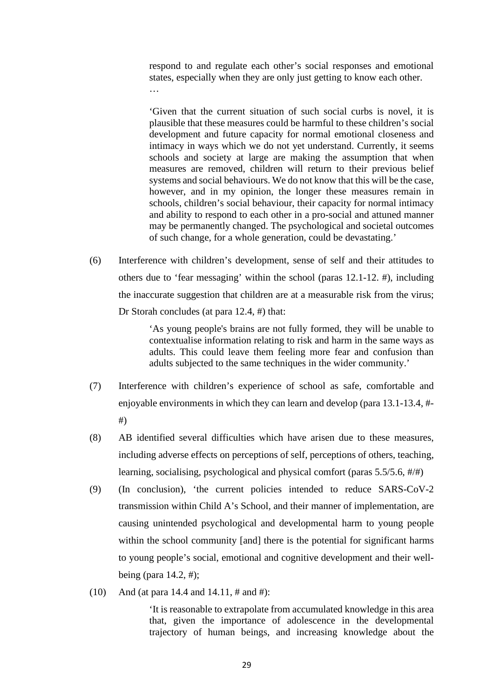respond to and regulate each other's social responses and emotional states, especially when they are only just getting to know each other. states, especially when they are only just getting to know each other. …

`Given that the current situation of such social curbs is novel, it is 'Given that the current situation of such social curbs is novel, it is plausible that these measures could be harmful to these children's social plausible that these measures could be harmful to these children's social development and future capacity for normal emotional closeness and development and future capacity for normal emotional closeness and intimacy in ways which we do not yet understand. Currently, it seems intimacy in ways which we do not yet understand. Currently, it seems schools and society at large are making the assumption that when schools and society at large are making the assumption that when measures are removed, children will return to their previous belief measures are removed, children will return to their previous belief systems and social behaviours. We do not know that this will be the case, systems and social behaviours. We do not know that this will be the case, however, and in my opinion, the longer these measures remain in however, and in my opinion, the longer these measures remain in schools, children's social behaviour, their capacity for normal intimacy schools, children's social behaviour, their capacity for normal intimacy and ability to respond to each other in a pro-social and attuned manner and ability to respond to each other in a pro-social and attuned manner may be permanently changed. The psychological and societal outcomes may be permanently changed. The psychological and societal outcomes of such change, for a whole generation, could be devastating.'

(6) Interference with children's development, sense of self and their attitudes to (6) Interference with children's development, sense of self and their attitudes to others due to 'fear messaging' within the school (paras 12.1-12. #), including others due to 'fear messaging' within the school (paras 12.1-12. #), including the inaccurate suggestion that children are at a measurable risk from the virus; the inaccurate suggestion that children are at a measurable risk from the virus; Dr Storah concludes (at para 12.4, #) that: Dr Storah concludes (at para 12.4, #) that:

> `As young people's brains are not fully formed, they will be unable to 'As young people's brains are not fully formed, they will be unable to contextualise information relating to risk and harm in the same ways as contextualise information relating to risk and harm in the same ways as adults. This could leave them feeling more fear and confusion than adults. This could leave them feeling more fear and confusion than adults subjected to the same techniques in the wider community.'

- (7) Interference with children's experience of school as safe, comfortable and (7) Interference with children's experience of school as safe, comfortable and enjoyable environments in which they can learn and develop (para 13.1-13.4, #- enjoyable environments in which they can learn and develop (para 13.1-13.4, #- #) #)
- (8) AB identified several difficulties which have arisen due to these measures, (8) AB identified several difficulties which have arisen due to these measures, including adverse effects on perceptions of self, perceptions of others, teaching, including adverse effects on perceptions of self, perceptions of others, teaching, learning, socialising, psychological and physical comfort (paras 5.5/5.6, #/#) learning, socialising, psychological and physical comfort (paras 5.5/5.6, #/#)
- (9) (In conclusion), 'the current policies intended to reduce SARS-CoV-2 (9) (In conclusion), 'the current policies intended to reduce SARS-CoV-2 transmission within Child A's School, and their manner of implementation, are transmission within Child A's School, and their manner of implementation, are causing unintended psychological and developmental harm to young people causing unintended psychological and developmental harm to young people within the school community [and] there is the potential for significant harms within the school community [and] there is the potential for significant harms to young people's social, emotional and cognitive development and their well-to young people's social, emotional and cognitive development and their wellbeing (para 14.2, #); being (para 14.2, #);
- (10) And (at para 14.4 and 14.11, # and #): (10) And (at para 14.4 and 14.11, # and #):

`It is reasonable to extrapolate from accumulated knowledge in this area 'It is reasonable to extrapolate from accumulated knowledge in this area that, given the importance of adolescence in the developmental that, given the importance of adolescence in the developmental trajectory of human beings, and increasing knowledge about the trajectory of human beings, and increasing knowledge about the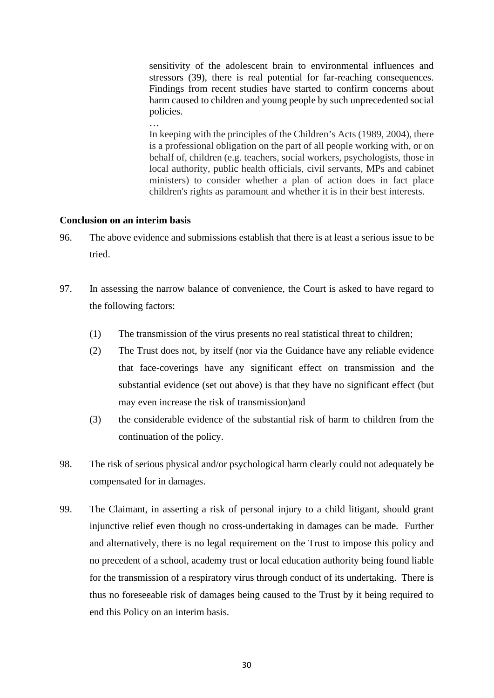sensitivity of the adolescent brain to environmental influences and sensitivity of the adolescent brain to environmental influences and stressors (39), there is real potential for far-reaching consequences. stressors (39), there is real potential for far-reaching consequences. Findings from recent studies have started to confirm concerns about Findings from recent studies have started to confirm concerns about harm caused to children and young people by such unprecedented social harm caused to children and young people by such unprecedented social policies. policies.

In keeping with the principles of the Children's Acts (1989, 2004), there In keeping with the principles of the Children's Acts (1989, 2004), there is a professional obligation on the part of all people working with, or on is a professional obligation on the part of all people working with, or on behalf of, children (e.g. teachers, social workers, psychologists, those in behalf of, children (e.g. teachers, social workers, psychologists, those in local authority, public health officials, civil servants, MPs and cabinet local authority, public health officials, civil servants, MPs and cabinet ministers) to consider whether a plan of action does in fact place ministers) to consider whether a plan of action does in fact place children's rights as paramount and whether it is in their best interests. children's rights as paramount and whether it is in their best interests.

# **Conclusion on an interim basis Conclusion on an interim basis**

…

- 96. The above evidence and submissions establish that there is at least a serious issue to be 96. The above evidence and submissions establish that there is at least a serious issue to be tried. tried.
- 97. In assessing the narrow balance of convenience, the Court is asked to have regard to 97. In assessing the narrow balance of convenience, the Court is asked to have regard to the following factors: the following factors:
	- (1) The transmission of the virus presents no real statistical threat to children; (1) The transmission of the virus presents no real statistical threat to children;
	- (2) The Trust does not, by itself (nor via the Guidance have any reliable evidence (2) The Trust does not, by itself (nor via the Guidance have any reliable evidence that face-coverings have any significant effect on transmission and the that face-coverings have any significant effect on transmission and the substantial evidence (set out above) is that they have no significant effect (but substantial evidence (set out above) is that they have no significant effect (but may even increase the risk of transmission)and may even increase the risk of transmission)and
	- (3) the considerable evidence of the substantial risk of harm to children from the (3) the considerable evidence of the substantial risk of harm to children from the continuation of the policy. continuation of the policy.
- 98. The risk of serious physical and/or psychological harm clearly could not adequately be compensated for in damages. compensated for in damages.
- 99. The Claimant, in asserting a risk of personal injury to a child litigant, should grant injunctive relief even though no cross-undertaking in damages can be made. Further injunctive relief even though no cross-undertaking in damages can be made. Further and alternatively, there is no legal requirement on the Trust to impose this policy and and alternatively, there is no legal requirement on the Trust to impose this policy and no precedent of a school, academy trust or local education authority being found liable no precedent of a school, academy trust or local education authority being found liable for the transmission of a respiratory virus through conduct of its undertaking. There is for the transmission of a respiratory virus through conduct of its undertaking. There is thus no foreseeable risk of damages being caused to the Trust by it being required to thus no foreseeable risk of damages being caused to the Trust by it being required to end this Policy on an interim basis. end this Policy on an interim basis.